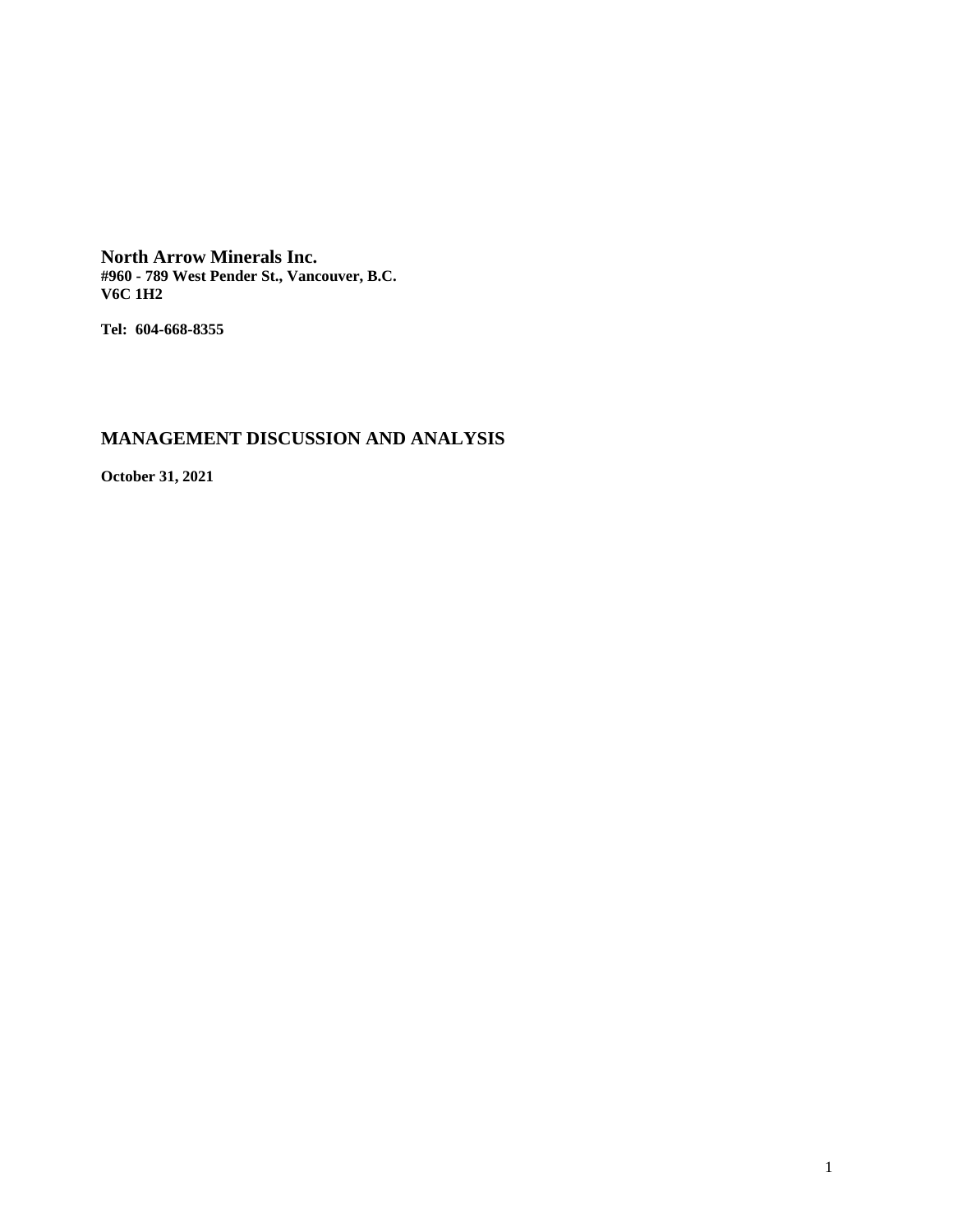**North Arrow Minerals Inc. #960 - 789 West Pender St., Vancouver, B.C. V6C 1H2**

**Tel: 604-668-8355**

# **MANAGEMENT DISCUSSION AND ANALYSIS**

**October 31, 2021**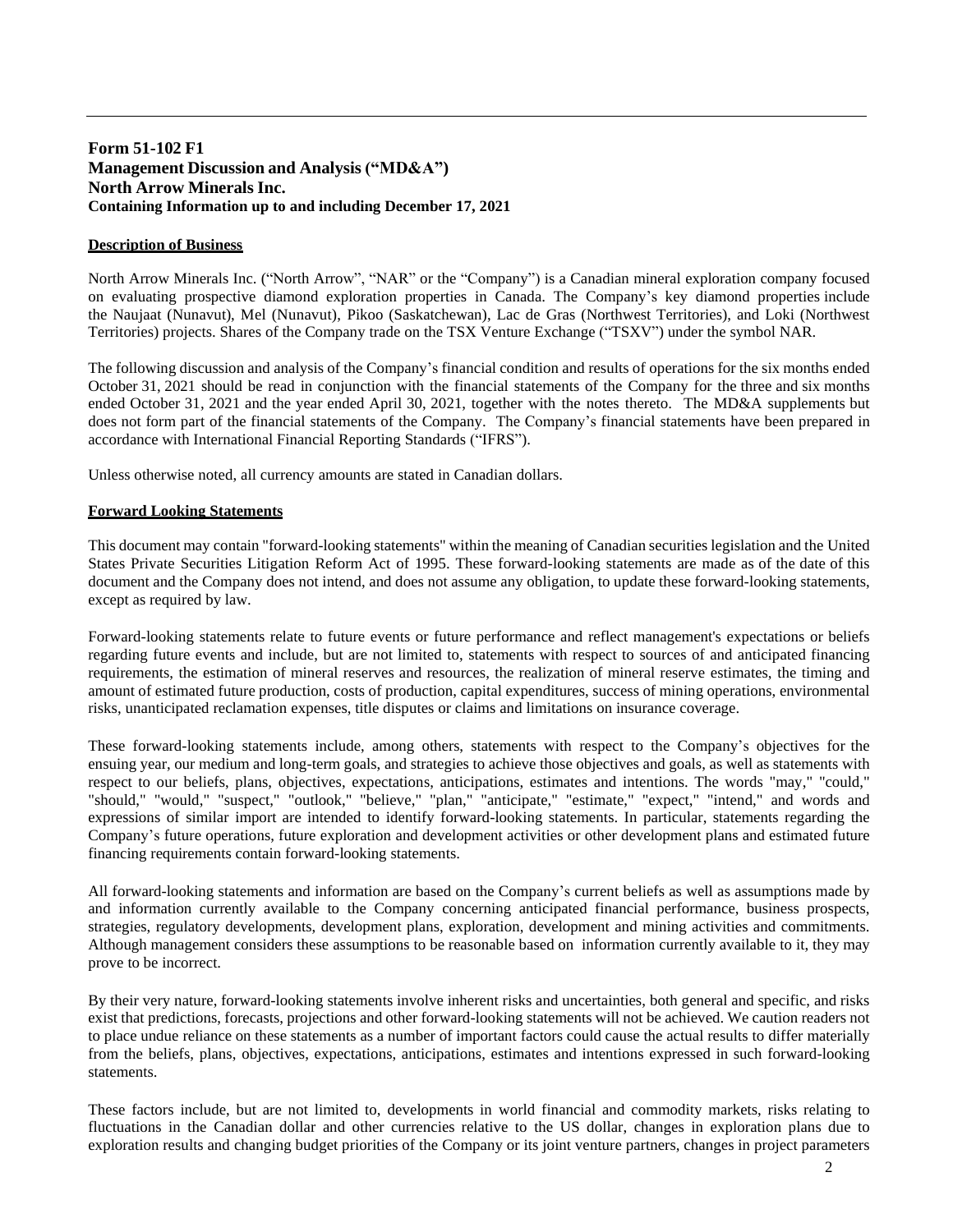# **Form 51-102 F1 Management Discussion and Analysis ("MD&A") North Arrow Minerals Inc. Containing Information up to and including December 17, 2021**

# **Description of Business**

North Arrow Minerals Inc. ("North Arrow", "NAR" or the "Company") is a Canadian mineral exploration company focused on evaluating prospective diamond exploration properties in Canada. The Company's key diamond properties include the Naujaat (Nunavut), Mel (Nunavut), Pikoo (Saskatchewan), Lac de Gras (Northwest Territories), and Loki (Northwest Territories) projects. Shares of the Company trade on the TSX Venture Exchange ("TSXV") under the symbol NAR.

The following discussion and analysis of the Company's financial condition and results of operations for the six months ended October 31, 2021 should be read in conjunction with the financial statements of the Company for the three and six months ended October 31, 2021 and the year ended April 30, 2021, together with the notes thereto. The MD&A supplements but does not form part of the financial statements of the Company. The Company's financial statements have been prepared in accordance with International Financial Reporting Standards ("IFRS").

Unless otherwise noted, all currency amounts are stated in Canadian dollars.

### **Forward Looking Statements**

This document may contain "forward-looking statements" within the meaning of Canadian securities legislation and the United States Private Securities Litigation Reform Act of 1995. These forward-looking statements are made as of the date of this document and the Company does not intend, and does not assume any obligation, to update these forward-looking statements, except as required by law.

Forward-looking statements relate to future events or future performance and reflect management's expectations or beliefs regarding future events and include, but are not limited to, statements with respect to sources of and anticipated financing requirements, the estimation of mineral reserves and resources, the realization of mineral reserve estimates, the timing and amount of estimated future production, costs of production, capital expenditures, success of mining operations, environmental risks, unanticipated reclamation expenses, title disputes or claims and limitations on insurance coverage.

These forward-looking statements include, among others, statements with respect to the Company's objectives for the ensuing year, our medium and long-term goals, and strategies to achieve those objectives and goals, as well as statements with respect to our beliefs, plans, objectives, expectations, anticipations, estimates and intentions. The words "may," "could," "should," "would," "suspect," "outlook," "believe," "plan," "anticipate," "estimate," "expect," "intend," and words and expressions of similar import are intended to identify forward-looking statements. In particular, statements regarding the Company's future operations, future exploration and development activities or other development plans and estimated future financing requirements contain forward-looking statements.

All forward-looking statements and information are based on the Company's current beliefs as well as assumptions made by and information currently available to the Company concerning anticipated financial performance, business prospects, strategies, regulatory developments, development plans, exploration, development and mining activities and commitments. Although management considers these assumptions to be reasonable based on information currently available to it, they may prove to be incorrect.

By their very nature, forward-looking statements involve inherent risks and uncertainties, both general and specific, and risks exist that predictions, forecasts, projections and other forward-looking statements will not be achieved. We caution readers not to place undue reliance on these statements as a number of important factors could cause the actual results to differ materially from the beliefs, plans, objectives, expectations, anticipations, estimates and intentions expressed in such forward-looking statements.

These factors include, but are not limited to, developments in world financial and commodity markets, risks relating to fluctuations in the Canadian dollar and other currencies relative to the US dollar, changes in exploration plans due to exploration results and changing budget priorities of the Company or its joint venture partners, changes in project parameters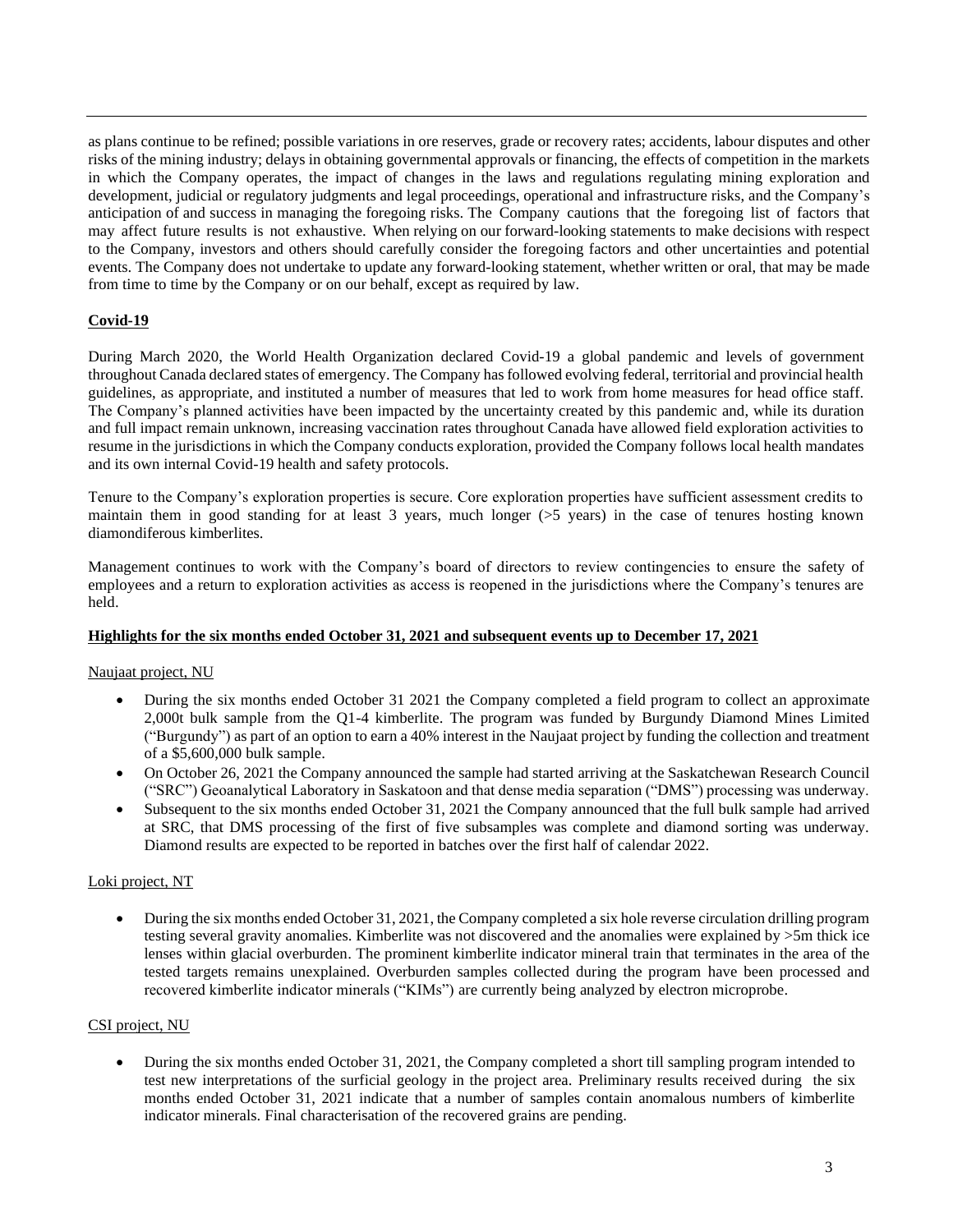as plans continue to be refined; possible variations in ore reserves, grade or recovery rates; accidents, labour disputes and other risks of the mining industry; delays in obtaining governmental approvals or financing, the effects of competition in the markets in which the Company operates, the impact of changes in the laws and regulations regulating mining exploration and development, judicial or regulatory judgments and legal proceedings, operational and infrastructure risks, and the Company's anticipation of and success in managing the foregoing risks. The Company cautions that the foregoing list of factors that may affect future results is not exhaustive. When relying on our forward-looking statements to make decisions with respect to the Company, investors and others should carefully consider the foregoing factors and other uncertainties and potential events. The Company does not undertake to update any forward-looking statement, whether written or oral, that may be made from time to time by the Company or on our behalf, except as required by law.

# **Covid-19**

During March 2020, the World Health Organization declared Covid-19 a global pandemic and levels of government throughout Canada declared states of emergency. The Company has followed evolving federal, territorial and provincial health guidelines, as appropriate, and instituted a number of measures that led to work from home measures for head office staff. The Company's planned activities have been impacted by the uncertainty created by this pandemic and, while its duration and full impact remain unknown, increasing vaccination rates throughout Canada have allowed field exploration activities to resume in the jurisdictions in which the Company conducts exploration, provided the Company follows local health mandates and its own internal Covid-19 health and safety protocols.

Tenure to the Company's exploration properties is secure. Core exploration properties have sufficient assessment credits to maintain them in good standing for at least 3 years, much longer (>5 years) in the case of tenures hosting known diamondiferous kimberlites.

Management continues to work with the Company's board of directors to review contingencies to ensure the safety of employees and a return to exploration activities as access is reopened in the jurisdictions where the Company's tenures are held.

# **Highlights for the six months ended October 31, 2021 and subsequent events up to December 17, 2021**

# Naujaat project, NU

- During the six months ended October 31 2021 the Company completed a field program to collect an approximate 2,000t bulk sample from the Q1-4 kimberlite. The program was funded by Burgundy Diamond Mines Limited ("Burgundy") as part of an option to earn a 40% interest in the Naujaat project by funding the collection and treatment of a \$5,600,000 bulk sample.
- On October 26, 2021 the Company announced the sample had started arriving at the Saskatchewan Research Council ("SRC") Geoanalytical Laboratory in Saskatoon and that dense media separation ("DMS") processing was underway.
- Subsequent to the six months ended October 31, 2021 the Company announced that the full bulk sample had arrived at SRC, that DMS processing of the first of five subsamples was complete and diamond sorting was underway. Diamond results are expected to be reported in batches over the first half of calendar 2022.

# Loki project, NT

• During the six months ended October 31, 2021, the Company completed a six hole reverse circulation drilling program testing several gravity anomalies. Kimberlite was not discovered and the anomalies were explained by >5m thick ice lenses within glacial overburden. The prominent kimberlite indicator mineral train that terminates in the area of the tested targets remains unexplained. Overburden samples collected during the program have been processed and recovered kimberlite indicator minerals ("KIMs") are currently being analyzed by electron microprobe.

### CSI project, NU

• During the six months ended October 31, 2021, the Company completed a short till sampling program intended to test new interpretations of the surficial geology in the project area. Preliminary results received during the six months ended October 31, 2021 indicate that a number of samples contain anomalous numbers of kimberlite indicator minerals. Final characterisation of the recovered grains are pending.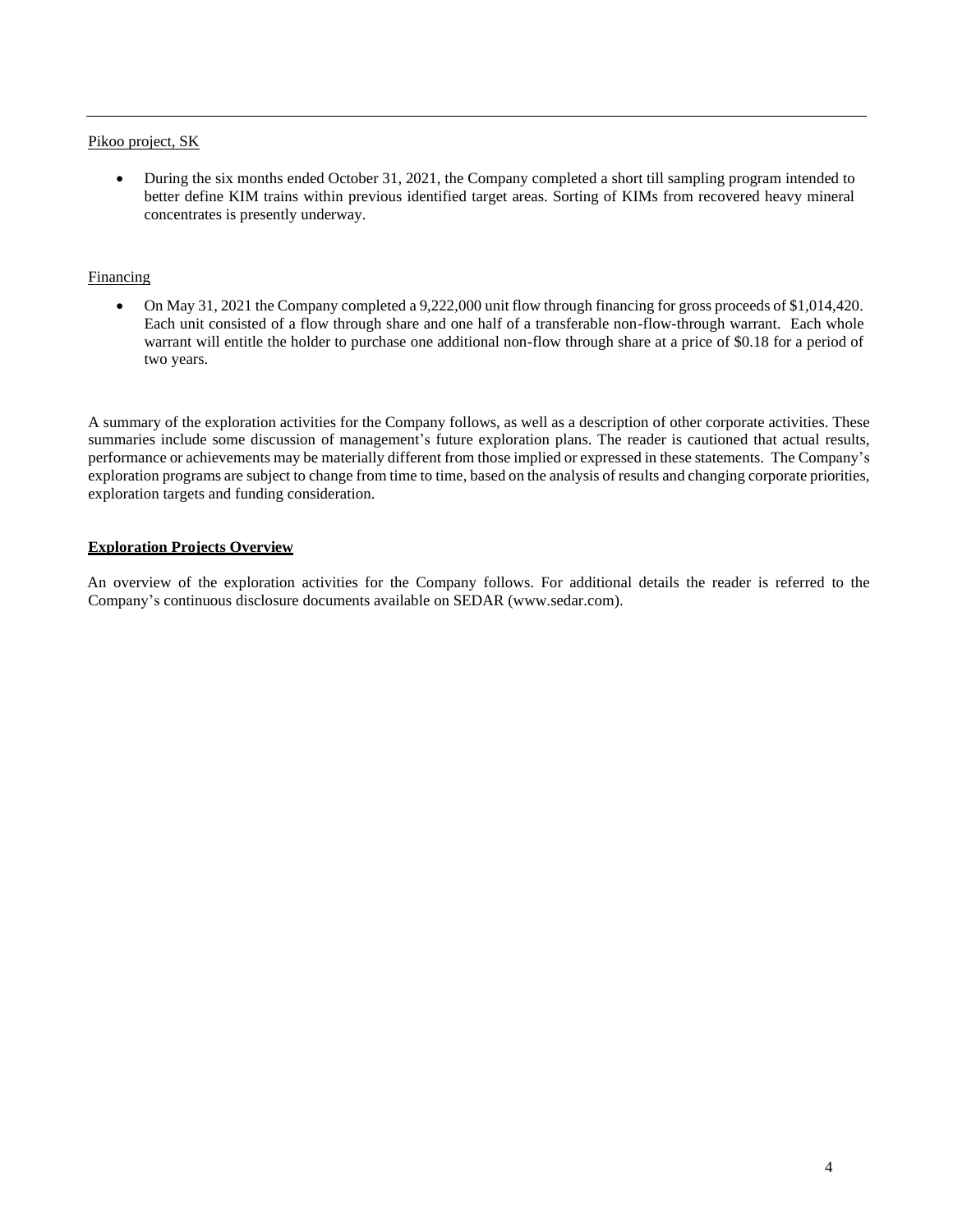### Pikoo project, SK

• During the six months ended October 31, 2021, the Company completed a short till sampling program intended to better define KIM trains within previous identified target areas. Sorting of KIMs from recovered heavy mineral concentrates is presently underway.

### Financing

• On May 31, 2021 the Company completed a 9,222,000 unit flow through financing for gross proceeds of \$1,014,420. Each unit consisted of a flow through share and one half of a transferable non-flow-through warrant. Each whole warrant will entitle the holder to purchase one additional non-flow through share at a price of \$0.18 for a period of two years.

A summary of the exploration activities for the Company follows, as well as a description of other corporate activities. These summaries include some discussion of management's future exploration plans. The reader is cautioned that actual results, performance or achievements may be materially different from those implied or expressed in these statements. The Company's exploration programs are subject to change from time to time, based on the analysis of results and changing corporate priorities, exploration targets and funding consideration.

# **Exploration Projects Overview**

An overview of the exploration activities for the Company follows. For additional details the reader is referred to the Company's continuous disclosure documents available on [SEDAR \(www.sedar.com](http://www.sedar.com/)).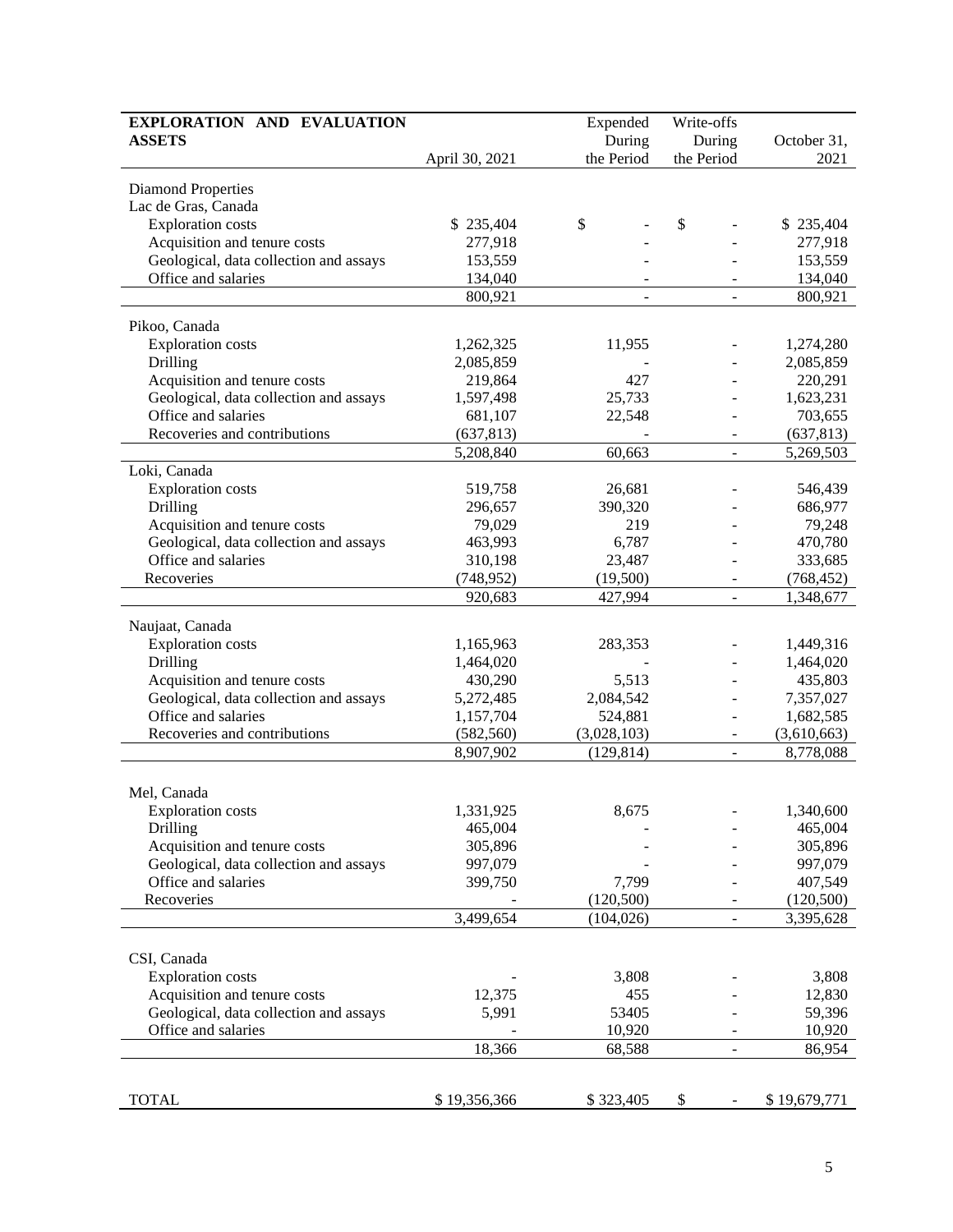| EXPLORATION AND EVALUATION             | Expended       |             |                          |              |
|----------------------------------------|----------------|-------------|--------------------------|--------------|
| <b>ASSETS</b>                          | During         |             | During                   | October 31,  |
|                                        | April 30, 2021 | the Period  | the Period               | 2021         |
| <b>Diamond Properties</b>              |                |             |                          |              |
| Lac de Gras, Canada                    |                |             |                          |              |
| <b>Exploration</b> costs               | \$235,404      | \$          | \$                       | \$235,404    |
| Acquisition and tenure costs           | 277,918        |             |                          | 277,918      |
| Geological, data collection and assays | 153,559        |             |                          | 153,559      |
| Office and salaries                    | 134,040        |             |                          | 134,040      |
|                                        | 800,921        | ÷,          | ÷,                       | 800,921      |
|                                        |                |             |                          |              |
| Pikoo, Canada                          |                |             |                          |              |
| <b>Exploration</b> costs               | 1,262,325      | 11,955      |                          | 1,274,280    |
| Drilling                               | 2,085,859      |             |                          | 2,085,859    |
| Acquisition and tenure costs           | 219,864        | 427         |                          | 220,291      |
| Geological, data collection and assays | 1,597,498      | 25,733      |                          | 1,623,231    |
| Office and salaries                    | 681,107        | 22,548      |                          | 703,655      |
| Recoveries and contributions           | (637, 813)     |             |                          | (637, 813)   |
|                                        | 5,208,840      | 60,663      | $\overline{a}$           | 5,269,503    |
| Loki, Canada                           |                |             |                          |              |
| <b>Exploration</b> costs               | 519,758        | 26,681      |                          | 546,439      |
| Drilling                               | 296,657        | 390,320     |                          | 686,977      |
| Acquisition and tenure costs           | 79,029         | 219         |                          | 79,248       |
| Geological, data collection and assays | 463,993        | 6,787       |                          | 470,780      |
| Office and salaries                    | 310,198        | 23,487      |                          | 333,685      |
| Recoveries                             | (748, 952)     | (19,500)    |                          | (768, 452)   |
|                                        | 920,683        | 427,994     |                          | 1,348,677    |
| Naujaat, Canada                        |                |             |                          |              |
| <b>Exploration</b> costs               | 1,165,963      | 283,353     |                          | 1,449,316    |
| Drilling                               | 1,464,020      |             |                          | 1,464,020    |
| Acquisition and tenure costs           | 430,290        | 5,513       |                          | 435,803      |
| Geological, data collection and assays | 5,272,485      | 2,084,542   |                          | 7,357,027    |
| Office and salaries                    | 1,157,704      | 524,881     |                          | 1,682,585    |
| Recoveries and contributions           | (582, 560)     | (3,028,103) |                          | (3,610,663)  |
|                                        | 8,907,902      | (129, 814)  |                          | 8,778,088    |
|                                        |                |             |                          |              |
| Mel, Canada                            |                |             |                          |              |
| <b>Exploration</b> costs               | 1,331,925      | 8,675       |                          | 1,340,600    |
| Drilling                               | 465,004        |             |                          | 465,004      |
| Acquisition and tenure costs           | 305,896        |             |                          | 305,896      |
| Geological, data collection and assays | 997,079        |             |                          | 997,079      |
| Office and salaries                    | 399,750        | 7,799       |                          | 407,549      |
| Recoveries                             |                | (120, 500)  |                          | (120,500)    |
|                                        | 3,499,654      | (104, 026)  | $\overline{a}$           | 3,395,628    |
|                                        |                |             |                          |              |
| CSI, Canada                            |                |             |                          |              |
| Exploration costs                      |                | 3,808       |                          | 3,808        |
| Acquisition and tenure costs           | 12,375         | 455         |                          | 12,830       |
| Geological, data collection and assays | 5,991          | 53405       |                          | 59,396       |
| Office and salaries                    |                | 10,920      |                          | 10,920       |
|                                        | 18,366         | 68,588      | $\overline{\phantom{0}}$ | 86,954       |
|                                        |                |             |                          |              |
|                                        |                |             |                          |              |
| <b>TOTAL</b>                           | \$19,356,366   | \$323,405   | \$                       | \$19,679,771 |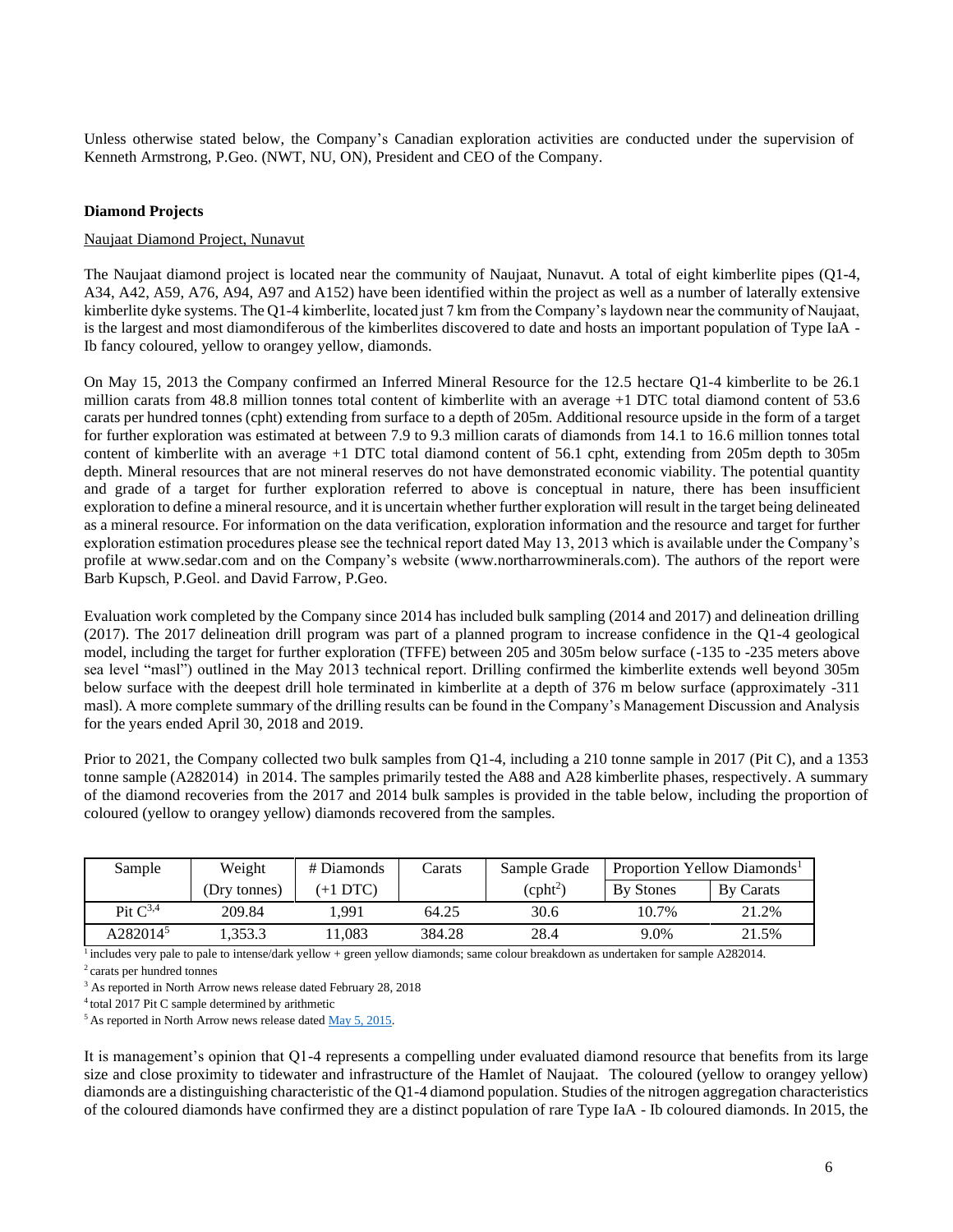Unless otherwise stated below, the Company's Canadian exploration activities are conducted under the supervision of Kenneth Armstrong, P.Geo. (NWT, NU, ON), President and CEO of the Company.

### **Diamond Projects**

### Naujaat Diamond Project, Nunavut

The Naujaat diamond project is located near the community of Naujaat, Nunavut. A total of eight kimberlite pipes (Q1-4, A34, A42, A59, A76, A94, A97 and A152) have been identified within the project as well as a number of laterally extensive kimberlite dyke systems. The Q1-4 kimberlite, located just 7 km from the Company's laydown near the community of Naujaat, is the largest and most diamondiferous of the kimberlites discovered to date and hosts an important population of Type IaA - Ib fancy coloured, yellow to orangey yellow, diamonds.

On May 15, 2013 the Company confirmed an Inferred Mineral Resource for the 12.5 hectare Q1-4 kimberlite to be 26.1 million carats from 48.8 million tonnes total content of kimberlite with an average +1 DTC total diamond content of 53.6 carats per hundred tonnes (cpht) extending from surface to a depth of 205m. Additional resource upside in the form of a target for further exploration was estimated at between 7.9 to 9.3 million carats of diamonds from 14.1 to 16.6 million tonnes total content of kimberlite with an average +1 DTC total diamond content of 56.1 cpht, extending from 205m depth to 305m depth. Mineral resources that are not mineral reserves do not have demonstrated economic viability. The potential quantity and grade of a target for further exploration referred to above is conceptual in nature, there has been insufficient exploration to define a mineral resource, and it is uncertain whether further exploration will result in the target being delineated as a mineral resource. For information on the data verification, exploration information and the resource and target for further exploration estimation procedures please see the technical report dated May 13, 2013 which is available under the Company's profile at [www.sedar.com](http://www.sedar.com/) and on the Company's website [\(www.northarrowminerals.com\)](http://www.northarrowminerals.com/). The authors of the report were Barb Kupsch, P.Geol. and David Farrow, P.Geo.

Evaluation work completed by the Company since 2014 has included bulk sampling (2014 and 2017) and delineation drilling (2017). The 2017 delineation drill program was part of a planned program to increase confidence in the Q1-4 geological model, including the target for further exploration (TFFE) between 205 and 305m below surface (-135 to -235 meters above sea level "masl") outlined in the May 2013 technical report. Drilling confirmed the kimberlite extends well beyond 305m below surface with the deepest drill hole terminated in kimberlite at a depth of 376 m below surface (approximately -311 masl). A more complete summary of the drilling results can be found in the Company's Management Discussion and Analysis for the years ended April 30, 2018 and 2019.

Prior to 2021, the Company collected two bulk samples from Q1-4, including a 210 tonne sample in 2017 (Pit C), and a 1353 tonne sample (A282014) in 2014. The samples primarily tested the A88 and A28 kimberlite phases, respectively. A summary of the diamond recoveries from the 2017 and 2014 bulk samples is provided in the table below, including the proportion of coloured (yellow to orangey yellow) diamonds recovered from the samples.

| Sample               | Weight       | # Diamonds | Carats | Sample Grade | Proportion Yellow Diamonds <sup>1</sup> |           |
|----------------------|--------------|------------|--------|--------------|-----------------------------------------|-----------|
|                      | (Dry tonnes) | $(+1$ DTC) |        | $(cpht^2)$   | <b>By Stones</b>                        | By Carats |
| Pit $C^{3,4}$        | 209.84       | l.991      | 64.25  | 30.6         | 10.7%                                   | 21.2%     |
| A282014 <sup>5</sup> | .353.3       | 1,083      | 384.28 | 28.4         | 9.0%                                    | 21.5%     |

 $\frac{1}{1}$  includes very pale to pale to intense/dark yellow + green yellow diamonds; same colour breakdown as undertaken for sample A282014.

<sup>2</sup>carats per hundred tonnes

<sup>4</sup>total 2017 Pit C sample determined by arithmetic

<sup>5</sup> As reported in North Arrow news release dated [May 5, 2015.](http://www.northarrowminerals.com/news/press_releases/2015/index.php?content_id=178)

It is management's opinion that Q1-4 represents a compelling under evaluated diamond resource that benefits from its large size and close proximity to tidewater and infrastructure of the Hamlet of Naujaat. The coloured (yellow to orangey yellow) diamonds are a distinguishing characteristic of the Q1-4 diamond population. Studies of the nitrogen aggregation characteristics of the coloured diamonds have confirmed they are a distinct population of rare Type IaA - Ib coloured diamonds. In 2015, the

<sup>&</sup>lt;sup>3</sup> As reported in North Arrow news release dated February 28, 2018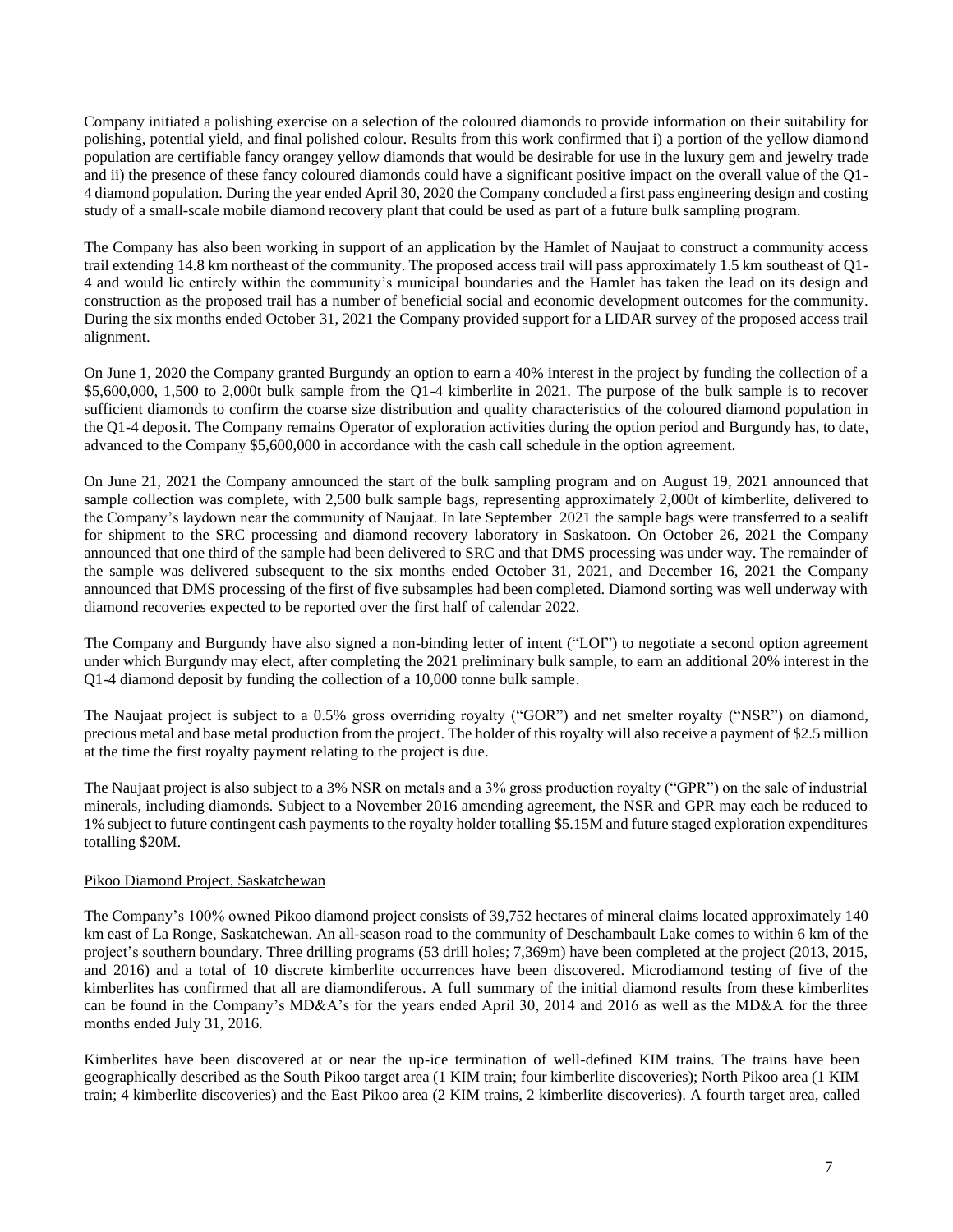Company initiated a polishing exercise on a selection of the coloured diamonds to provide information on their suitability for polishing, potential yield, and final polished colour. Results from this work confirmed that i) a portion of the yellow diamond population are certifiable fancy orangey yellow diamonds that would be desirable for use in the luxury gem and jewelry trade and ii) the presence of these fancy coloured diamonds could have a significant positive impact on the overall value of the Q1- 4 diamond population. During the year ended April 30, 2020 the Company concluded a first pass engineering design and costing study of a small-scale mobile diamond recovery plant that could be used as part of a future bulk sampling program.

The Company has also been working in support of an application by the Hamlet of Naujaat to construct a community access trail extending 14.8 km northeast of the community. The proposed access trail will pass approximately 1.5 km southeast of Q1- 4 and would lie entirely within the community's municipal boundaries and the Hamlet has taken the lead on its design and construction as the proposed trail has a number of beneficial social and economic development outcomes for the community. During the six months ended October 31, 2021 the Company provided support for a LIDAR survey of the proposed access trail alignment.

On June 1, 2020 the Company granted Burgundy an option to earn a 40% interest in the project by funding the collection of a \$5,600,000, 1,500 to 2,000t bulk sample from the Q1-4 kimberlite in 2021. The purpose of the bulk sample is to recover sufficient diamonds to confirm the coarse size distribution and quality characteristics of the coloured diamond population in the Q1-4 deposit. The Company remains Operator of exploration activities during the option period and Burgundy has, to date, advanced to the Company \$5,600,000 in accordance with the cash call schedule in the option agreement.

On June 21, 2021 the Company announced the start of the bulk sampling program and on August 19, 2021 announced that sample collection was complete, with 2,500 bulk sample bags, representing approximately 2,000t of kimberlite, delivered to the Company's laydown near the community of Naujaat. In late September 2021 the sample bags were transferred to a sealift for shipment to the SRC processing and diamond recovery laboratory in Saskatoon. On October 26, 2021 the Company announced that one third of the sample had been delivered to SRC and that DMS processing was under way. The remainder of the sample was delivered subsequent to the six months ended October 31, 2021, and December 16, 2021 the Company announced that DMS processing of the first of five subsamples had been completed. Diamond sorting was well underway with diamond recoveries expected to be reported over the first half of calendar 2022.

The Company and Burgundy have also signed a non-binding letter of intent ("LOI") to negotiate a second option agreement under which Burgundy may elect, after completing the 2021 preliminary bulk sample, to earn an additional 20% interest in the Q1-4 diamond deposit by funding the collection of a 10,000 tonne bulk sample.

The Naujaat project is subject to a 0.5% gross overriding royalty ("GOR") and net smelter royalty ("NSR") on diamond, precious metal and base metal production from the project. The holder of this royalty will also receive a payment of \$2.5 million at the time the first royalty payment relating to the project is due.

The Naujaat project is also subject to a 3% NSR on metals and a 3% gross production royalty ("GPR") on the sale of industrial minerals, including diamonds. Subject to a November 2016 amending agreement, the NSR and GPR may each be reduced to 1% subject to future contingent cash payments to the royalty holder totalling \$5.15M and future staged exploration expenditures totalling \$20M.

# Pikoo Diamond Project, Saskatchewan

The Company's 100% owned Pikoo diamond project consists of 39,752 hectares of mineral claims located approximately 140 km east of La Ronge, Saskatchewan. An all-season road to the community of Deschambault Lake comes to within 6 km of the project's southern boundary. Three drilling programs (53 drill holes; 7,369m) have been completed at the project (2013, 2015, and 2016) and a total of 10 discrete kimberlite occurrences have been discovered. Microdiamond testing of five of the kimberlites has confirmed that all are diamondiferous. A full summary of the initial diamond results from these kimberlites can be found in the Company's MD&A's for the years ended April 30, 2014 and 2016 as well as the MD&A for the three months ended July 31, 2016.

Kimberlites have been discovered at or near the up-ice termination of well-defined KIM trains. The trains have been geographically described as the South Pikoo target area (1 KIM train; four kimberlite discoveries); North Pikoo area (1 KIM train; 4 kimberlite discoveries) and the East Pikoo area (2 KIM trains, 2 kimberlite discoveries). A fourth target area, called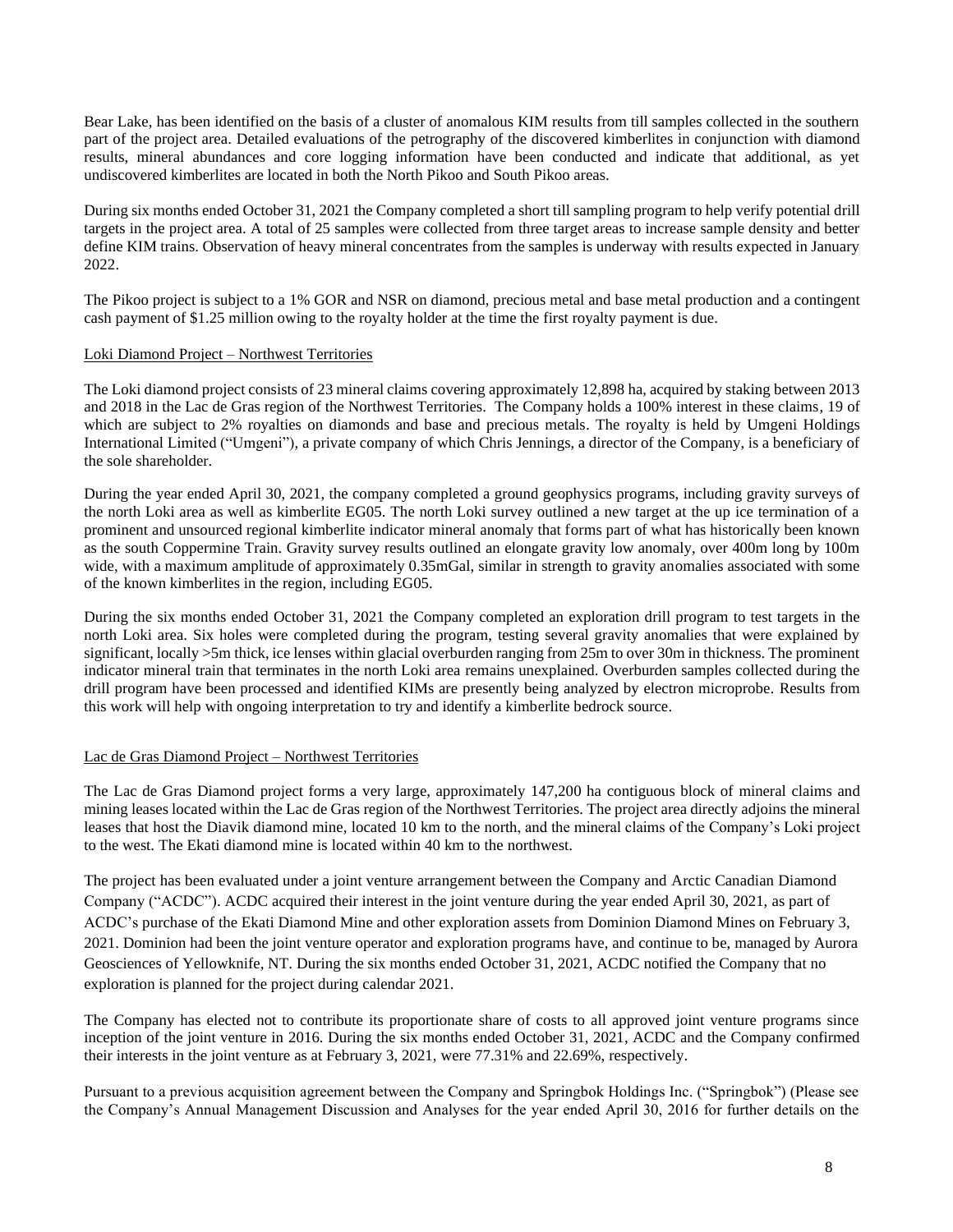Bear Lake, has been identified on the basis of a cluster of anomalous KIM results from till samples collected in the southern part of the project area. Detailed evaluations of the petrography of the discovered kimberlites in conjunction with diamond results, mineral abundances and core logging information have been conducted and indicate that additional, as yet undiscovered kimberlites are located in both the North Pikoo and South Pikoo areas.

During six months ended October 31, 2021 the Company completed a short till sampling program to help verify potential drill targets in the project area. A total of 25 samples were collected from three target areas to increase sample density and better define KIM trains. Observation of heavy mineral concentrates from the samples is underway with results expected in January 2022.

The Pikoo project is subject to a 1% GOR and NSR on diamond, precious metal and base metal production and a contingent cash payment of \$1.25 million owing to the royalty holder at the time the first royalty payment is due.

### Loki Diamond Project – Northwest Territories

The Loki diamond project consists of 23 mineral claims covering approximately 12,898 ha, acquired by staking between 2013 and 2018 in the Lac de Gras region of the Northwest Territories. The Company holds a 100% interest in these claims, 19 of which are subject to 2% royalties on diamonds and base and precious metals. The royalty is held by Umgeni Holdings International Limited ("Umgeni"), a private company of which Chris Jennings, a director of the Company, is a beneficiary of the sole shareholder.

During the year ended April 30, 2021, the company completed a ground geophysics programs, including gravity surveys of the north Loki area as well as kimberlite EG05. The north Loki survey outlined a new target at the up ice termination of a prominent and unsourced regional kimberlite indicator mineral anomaly that forms part of what has historically been known as the south Coppermine Train. Gravity survey results outlined an elongate gravity low anomaly, over 400m long by 100m wide, with a maximum amplitude of approximately 0.35mGal, similar in strength to gravity anomalies associated with some of the known kimberlites in the region, including EG05.

During the six months ended October 31, 2021 the Company completed an exploration drill program to test targets in the north Loki area. Six holes were completed during the program, testing several gravity anomalies that were explained by significant, locally >5m thick, ice lenses within glacial overburden ranging from 25m to over 30m in thickness. The prominent indicator mineral train that terminates in the north Loki area remains unexplained. Overburden samples collected during the drill program have been processed and identified KIMs are presently being analyzed by electron microprobe. Results from this work will help with ongoing interpretation to try and identify a kimberlite bedrock source.

#### Lac de Gras Diamond Project – Northwest Territories

The Lac de Gras Diamond project forms a very large, approximately 147,200 ha contiguous block of mineral claims and mining leases located within the Lac de Gras region of the Northwest Territories. The project area directly adjoins the mineral leases that host the Diavik diamond mine, located 10 km to the north, and the mineral claims of the Company's Loki project to the west. The Ekati diamond mine is located within 40 km to the northwest.

The project has been evaluated under a joint venture arrangement between the Company and Arctic Canadian Diamond Company ("ACDC"). ACDC acquired their interest in the joint venture during the year ended April 30, 2021, as part of ACDC's purchase of the Ekati Diamond Mine and other exploration assets from Dominion Diamond Mines on February 3, 2021. Dominion had been the joint venture operator and exploration programs have, and continue to be, managed by Aurora Geosciences of Yellowknife, NT. During the six months ended October 31, 2021, ACDC notified the Company that no exploration is planned for the project during calendar 2021.

The Company has elected not to contribute its proportionate share of costs to all approved joint venture programs since inception of the joint venture in 2016. During the six months ended October 31, 2021, ACDC and the Company confirmed their interests in the joint venture as at February 3, 2021, were 77.31% and 22.69%, respectively.

Pursuant to a previous acquisition agreement between the Company and Springbok Holdings Inc. ("Springbok") (Please see the Company's Annual Management Discussion and Analyses for the year ended April 30, 2016 for further details on the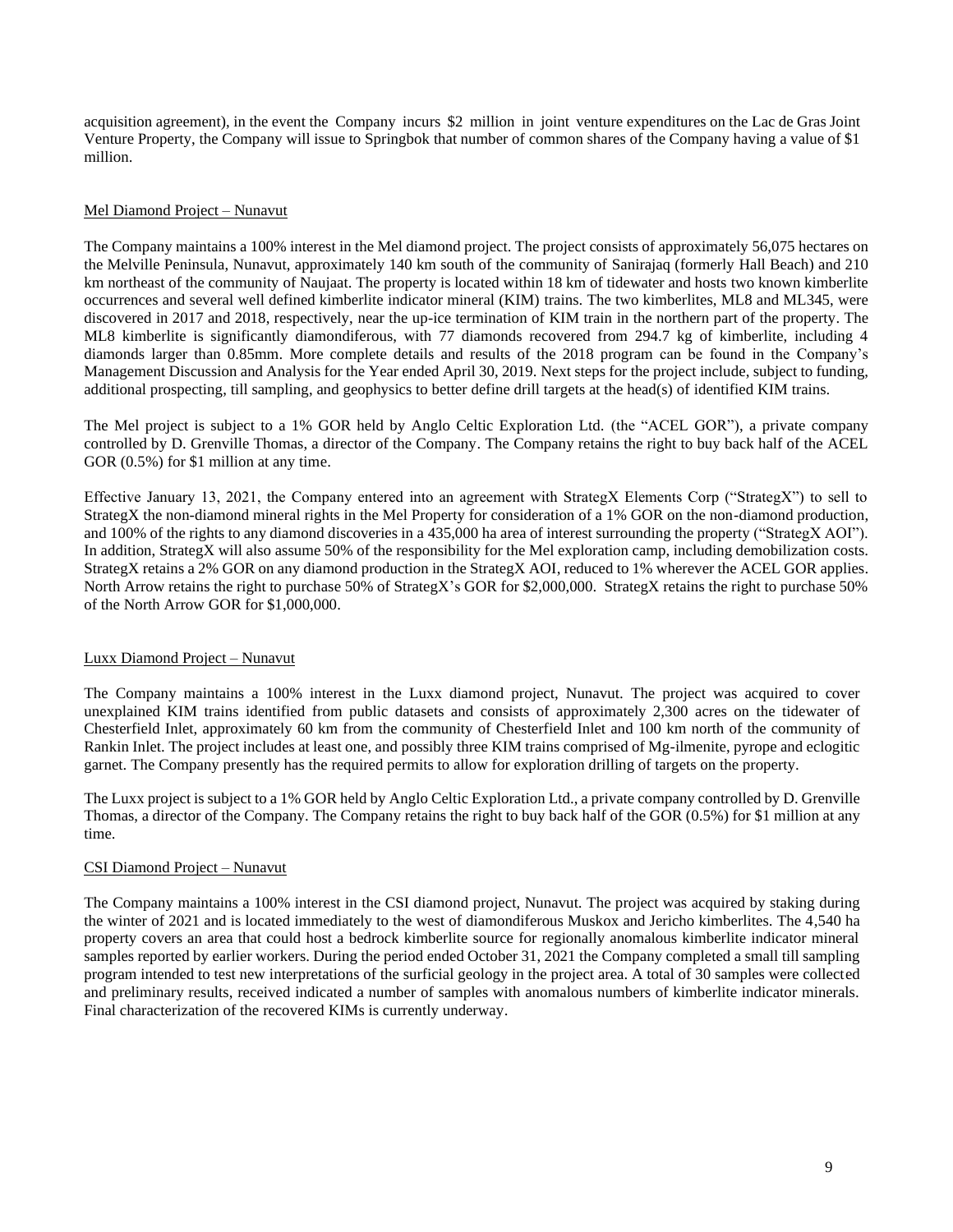acquisition agreement), in the event the Company incurs \$2 million in joint venture expenditures on the Lac de Gras Joint Venture Property, the Company will issue to Springbok that number of common shares of the Company having a value of \$1 million.

### Mel Diamond Project – Nunavut

The Company maintains a 100% interest in the Mel diamond project. The project consists of approximately 56,075 hectares on the Melville Peninsula, Nunavut, approximately 140 km south of the community of Sanirajaq (formerly Hall Beach) and 210 km northeast of the community of Naujaat. The property is located within 18 km of tidewater and hosts two known kimberlite occurrences and several well defined kimberlite indicator mineral (KIM) trains. The two kimberlites, ML8 and ML345, were discovered in 2017 and 2018, respectively, near the up-ice termination of KIM train in the northern part of the property. The ML8 kimberlite is significantly diamondiferous, with 77 diamonds recovered from 294.7 kg of kimberlite, including 4 diamonds larger than 0.85mm. More complete details and results of the 2018 program can be found in the Company's Management Discussion and Analysis for the Year ended April 30, 2019. Next steps for the project include, subject to funding, additional prospecting, till sampling, and geophysics to better define drill targets at the head(s) of identified KIM trains.

The Mel project is subject to a 1% GOR held by Anglo Celtic Exploration Ltd. (the "ACEL GOR"), a private company controlled by D. Grenville Thomas, a director of the Company. The Company retains the right to buy back half of the ACEL GOR  $(0.5\%)$  for \$1 million at any time.

Effective January 13, 2021, the Company entered into an agreement with StrategX Elements Corp ("StrategX") to sell to StrategX the non-diamond mineral rights in the Mel Property for consideration of a 1% GOR on the non-diamond production, and 100% of the rights to any diamond discoveries in a 435,000 ha area of interest surrounding the property ("StrategX AOI"). In addition, StrategX will also assume 50% of the responsibility for the Mel exploration camp, including demobilization costs. StrategX retains a 2% GOR on any diamond production in the StrategX AOI, reduced to 1% wherever the ACEL GOR applies. North Arrow retains the right to purchase 50% of StrategX's GOR for \$2,000,000. StrategX retains the right to purchase 50% of the North Arrow GOR for \$1,000,000.

# Luxx Diamond Project – Nunavut

The Company maintains a 100% interest in the Luxx diamond project, Nunavut. The project was acquired to cover unexplained KIM trains identified from public datasets and consists of approximately 2,300 acres on the tidewater of Chesterfield Inlet, approximately 60 km from the community of Chesterfield Inlet and 100 km north of the community of Rankin Inlet. The project includes at least one, and possibly three KIM trains comprised of Mg-ilmenite, pyrope and eclogitic garnet. The Company presently has the required permits to allow for exploration drilling of targets on the property.

The Luxx project is subject to a 1% GOR held by Anglo Celtic Exploration Ltd., a private company controlled by D. Grenville Thomas, a director of the Company. The Company retains the right to buy back half of the GOR (0.5%) for \$1 million at any time.

### CSI Diamond Project – Nunavut

The Company maintains a 100% interest in the CSI diamond project, Nunavut. The project was acquired by staking during the winter of 2021 and is located immediately to the west of diamondiferous Muskox and Jericho kimberlites. The 4,540 ha property covers an area that could host a bedrock kimberlite source for regionally anomalous kimberlite indicator mineral samples reported by earlier workers. During the period ended October 31, 2021 the Company completed a small till sampling program intended to test new interpretations of the surficial geology in the project area. A total of 30 samples were collected and preliminary results, received indicated a number of samples with anomalous numbers of kimberlite indicator minerals. Final characterization of the recovered KIMs is currently underway.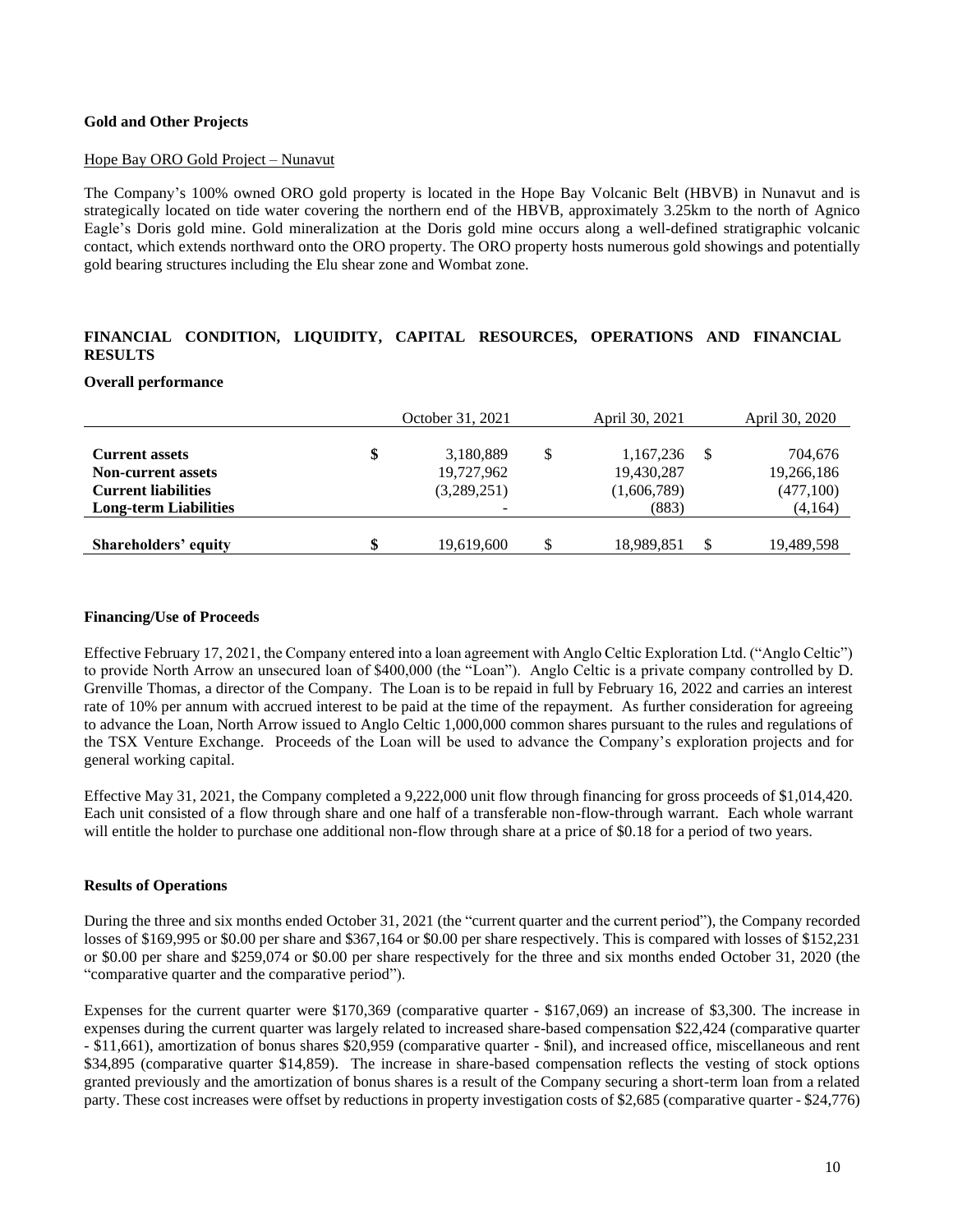### **Gold and Other Projects**

### Hope Bay ORO Gold Project – Nunavut

The Company's 100% owned ORO gold property is located in the Hope Bay Volcanic Belt (HBVB) in Nunavut and is strategically located on tide water covering the northern end of the HBVB, approximately 3.25km to the north of Agnico Eagle's Doris gold mine. Gold mineralization at the Doris gold mine occurs along a well-defined stratigraphic volcanic contact, which extends northward onto the ORO property. The ORO property hosts numerous gold showings and potentially gold bearing structures including the Elu shear zone and Wombat zone.

# **FINANCIAL CONDITION, LIQUIDITY, CAPITAL RESOURCES, OPERATIONS AND FINANCIAL RESULTS**

#### **Overall performance**

|                              | October 31, 2021 |     | April 30, 2021 |    | April 30, 2020 |
|------------------------------|------------------|-----|----------------|----|----------------|
| <b>Current assets</b>        | \$<br>3,180,889  | S   | 1,167,236      | -S | 704,676        |
| <b>Non-current assets</b>    | 19,727,962       |     | 19,430,287     |    | 19,266,186     |
| <b>Current liabilities</b>   | (3,289,251)      |     | (1,606,789)    |    | (477,100)      |
| <b>Long-term Liabilities</b> |                  |     | (883)          |    | (4,164)        |
|                              |                  |     |                |    |                |
| Shareholders' equity         | \$<br>19,619,600 | \$. | 18,989,851     |    | 19,489,598     |

### **Financing/Use of Proceeds**

Effective February 17, 2021, the Company entered into a loan agreement with Anglo Celtic Exploration Ltd. ("Anglo Celtic") to provide North Arrow an unsecured loan of \$400,000 (the "Loan"). Anglo Celtic is a private company controlled by D. Grenville Thomas, a director of the Company. The Loan is to be repaid in full by February 16, 2022 and carries an interest rate of 10% per annum with accrued interest to be paid at the time of the repayment. As further consideration for agreeing to advance the Loan, North Arrow issued to Anglo Celtic 1,000,000 common shares pursuant to the rules and regulations of the TSX Venture Exchange. Proceeds of the Loan will be used to advance the Company's exploration projects and for general working capital.

Effective May 31, 2021, the Company completed a 9,222,000 unit flow through financing for gross proceeds of \$1,014,420. Each unit consisted of a flow through share and one half of a transferable non-flow-through warrant. Each whole warrant will entitle the holder to purchase one additional non-flow through share at a price of \$0.18 for a period of two years.

### **Results of Operations**

During the three and six months ended October 31, 2021 (the "current quarter and the current period"), the Company recorded losses of \$169,995 or \$0.00 per share and \$367,164 or \$0.00 per share respectively. This is compared with losses of \$152,231 or \$0.00 per share and \$259,074 or \$0.00 per share respectively for the three and six months ended October 31, 2020 (the "comparative quarter and the comparative period").

Expenses for the current quarter were \$170,369 (comparative quarter - \$167,069) an increase of \$3,300. The increase in expenses during the current quarter was largely related to increased share-based compensation \$22,424 (comparative quarter - \$11,661), amortization of bonus shares \$20,959 (comparative quarter - \$nil), and increased office, miscellaneous and rent \$34,895 (comparative quarter \$14,859). The increase in share-based compensation reflects the vesting of stock options granted previously and the amortization of bonus shares is a result of the Company securing a short-term loan from a related party. These cost increases were offset by reductions in property investigation costs of \$2,685 (comparative quarter - \$24,776)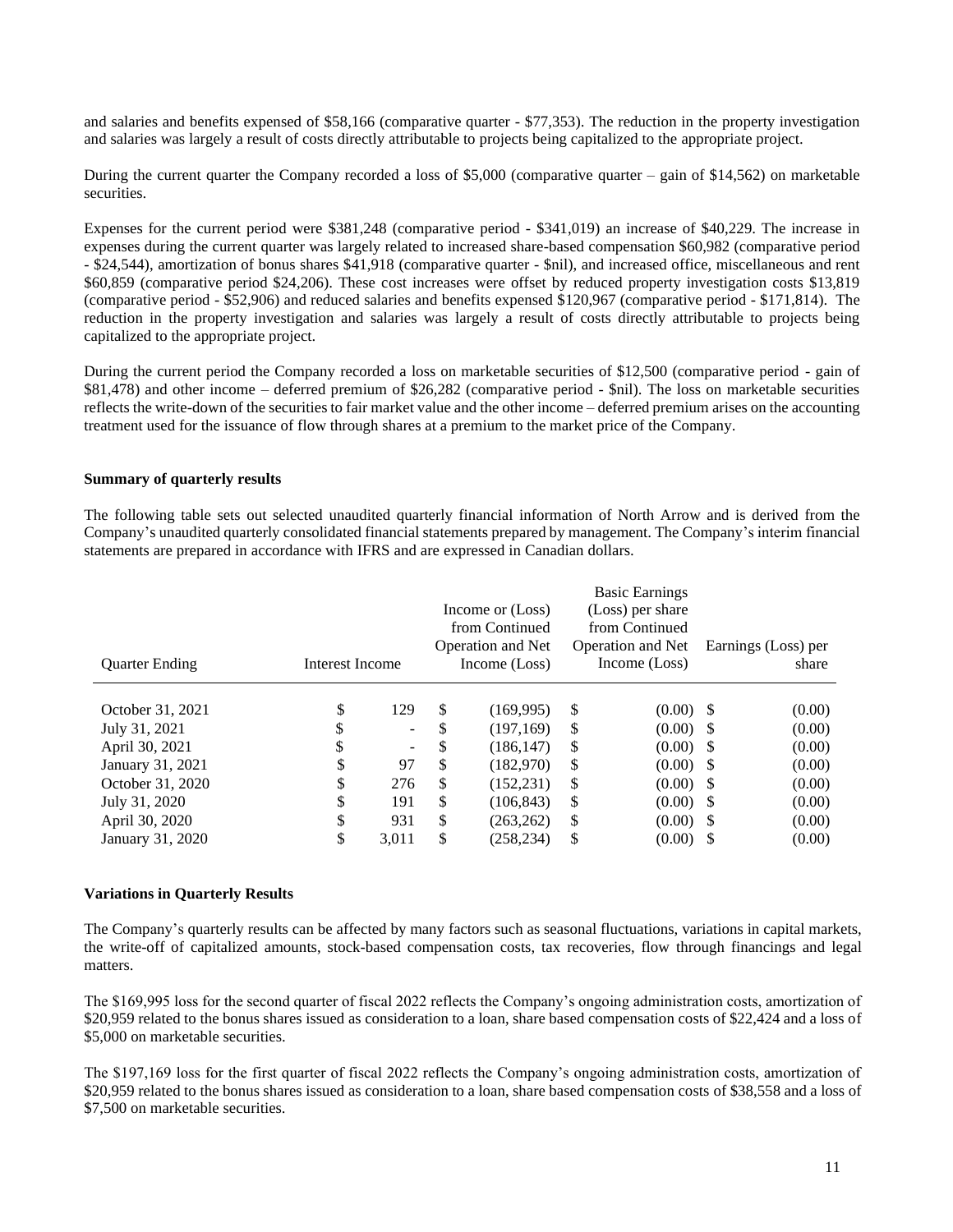and salaries and benefits expensed of \$58,166 (comparative quarter - \$77,353). The reduction in the property investigation and salaries was largely a result of costs directly attributable to projects being capitalized to the appropriate project.

During the current quarter the Company recorded a loss of \$5,000 (comparative quarter – gain of \$14,562) on marketable securities.

Expenses for the current period were \$381,248 (comparative period - \$341,019) an increase of \$40,229. The increase in expenses during the current quarter was largely related to increased share-based compensation \$60,982 (comparative period - \$24,544), amortization of bonus shares \$41,918 (comparative quarter - \$nil), and increased office, miscellaneous and rent \$60,859 (comparative period \$24,206). These cost increases were offset by reduced property investigation costs \$13,819 (comparative period - \$52,906) and reduced salaries and benefits expensed \$120,967 (comparative period - \$171,814). The reduction in the property investigation and salaries was largely a result of costs directly attributable to projects being capitalized to the appropriate project.

During the current period the Company recorded a loss on marketable securities of \$12,500 (comparative period - gain of \$81,478) and other income – deferred premium of \$26,282 (comparative period - \$nil). The loss on marketable securities reflects the write-down of the securities to fair market value and the other income – deferred premium arises on the accounting treatment used for the issuance of flow through shares at a premium to the market price of the Company.

### **Summary of quarterly results**

The following table sets out selected unaudited quarterly financial information of North Arrow and is derived from the Company's unaudited quarterly consolidated financial statements prepared by management. The Company's interim financial statements are prepared in accordance with IFRS and are expressed in Canadian dollars.

|                       |                 |                          | <b>Basic Earnings</b><br>(Loss) per share<br>Income or (Loss)<br>from Continued<br>from Continued |                   |    |                          |       |                     |
|-----------------------|-----------------|--------------------------|---------------------------------------------------------------------------------------------------|-------------------|----|--------------------------|-------|---------------------|
|                       |                 |                          |                                                                                                   | Operation and Net |    | <b>Operation and Net</b> |       | Earnings (Loss) per |
| <b>Quarter Ending</b> | Interest Income |                          | Income (Loss)                                                                                     |                   |    | Income (Loss)            | share |                     |
| October 31, 2021      | \$              | 129                      | \$                                                                                                | (169, 995)        | \$ | $(0.00)$ \$              |       | (0.00)              |
| July 31, 2021         | \$              | $\overline{\phantom{0}}$ | \$                                                                                                | (197.169)         | \$ | $(0.00)$ \$              |       | (0.00)              |
| April 30, 2021        | \$              |                          | S                                                                                                 | (186, 147)        | \$ | $(0.00)$ \$              |       | (0.00)              |
| January 31, 2021      | \$              | 97                       | \$                                                                                                | (182.970)         | \$ | $(0.00)$ \$              |       | (0.00)              |
| October 31, 2020      | S               | 276                      | S                                                                                                 | (152, 231)        | \$ | $(0.00)$ \$              |       | (0.00)              |
| July 31, 2020         | ¢<br>J          | 191                      | \$                                                                                                | (106, 843)        | \$ | $(0.00)$ \$              |       | (0.00)              |
| April 30, 2020        | \$              | 931                      | \$                                                                                                | (263, 262)        | \$ | $(0.00)$ \$              |       | (0.00)              |
| January 31, 2020      | ¢<br>D          | 3,011                    | \$                                                                                                | (258,234)         | \$ | $(0.00)$ \$              |       | (0.00)              |

### **Variations in Quarterly Results**

The Company's quarterly results can be affected by many factors such as seasonal fluctuations, variations in capital markets, the write-off of capitalized amounts, stock-based compensation costs, tax recoveries, flow through financings and legal matters.

The \$169,995 loss for the second quarter of fiscal 2022 reflects the Company's ongoing administration costs, amortization of \$20,959 related to the bonus shares issued as consideration to a loan, share based compensation costs of \$22,424 and a loss of \$5,000 on marketable securities.

The \$197,169 loss for the first quarter of fiscal 2022 reflects the Company's ongoing administration costs, amortization of \$20,959 related to the bonus shares issued as consideration to a loan, share based compensation costs of \$38,558 and a loss of \$7,500 on marketable securities.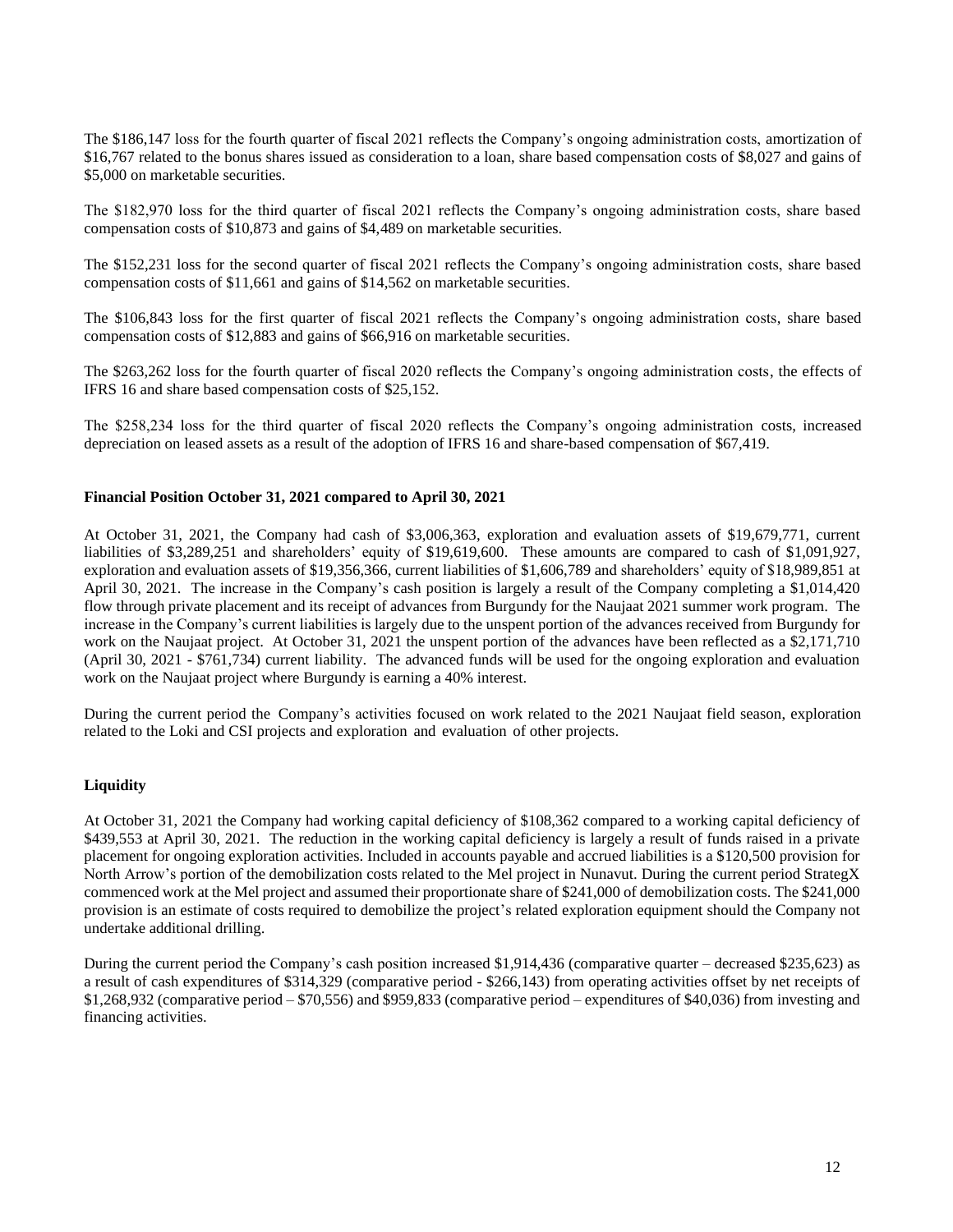The \$186,147 loss for the fourth quarter of fiscal 2021 reflects the Company's ongoing administration costs, amortization of \$16,767 related to the bonus shares issued as consideration to a loan, share based compensation costs of \$8,027 and gains of \$5,000 on marketable securities.

The \$182,970 loss for the third quarter of fiscal 2021 reflects the Company's ongoing administration costs, share based compensation costs of \$10,873 and gains of \$4,489 on marketable securities.

The \$152,231 loss for the second quarter of fiscal 2021 reflects the Company's ongoing administration costs, share based compensation costs of \$11,661 and gains of \$14,562 on marketable securities.

The \$106,843 loss for the first quarter of fiscal 2021 reflects the Company's ongoing administration costs, share based compensation costs of \$12,883 and gains of \$66,916 on marketable securities.

The \$263,262 loss for the fourth quarter of fiscal 2020 reflects the Company's ongoing administration costs, the effects of IFRS 16 and share based compensation costs of \$25,152.

The \$258,234 loss for the third quarter of fiscal 2020 reflects the Company's ongoing administration costs, increased depreciation on leased assets as a result of the adoption of IFRS 16 and share-based compensation of \$67,419.

### **Financial Position October 31, 2021 compared to April 30, 2021**

At October 31, 2021, the Company had cash of \$3,006,363, exploration and evaluation assets of \$19,679,771, current liabilities of \$3,289,251 and shareholders' equity of \$19,619,600. These amounts are compared to cash of \$1,091,927, exploration and evaluation assets of \$19,356,366, current liabilities of \$1,606,789 and shareholders' equity of \$18,989,851 at April 30, 2021. The increase in the Company's cash position is largely a result of the Company completing a \$1,014,420 flow through private placement and its receipt of advances from Burgundy for the Naujaat 2021 summer work program. The increase in the Company's current liabilities is largely due to the unspent portion of the advances received from Burgundy for work on the Naujaat project. At October 31, 2021 the unspent portion of the advances have been reflected as a \$2,171,710 (April 30, 2021 - \$761,734) current liability. The advanced funds will be used for the ongoing exploration and evaluation work on the Naujaat project where Burgundy is earning a 40% interest.

During the current period the Company's activities focused on work related to the 2021 Naujaat field season, exploration related to the Loki and CSI projects and exploration and evaluation of other projects.

#### **Liquidity**

At October 31, 2021 the Company had working capital deficiency of \$108,362 compared to a working capital deficiency of \$439,553 at April 30, 2021. The reduction in the working capital deficiency is largely a result of funds raised in a private placement for ongoing exploration activities. Included in accounts payable and accrued liabilities is a \$120,500 provision for North Arrow's portion of the demobilization costs related to the Mel project in Nunavut. During the current period StrategX commenced work at the Mel project and assumed their proportionate share of \$241,000 of demobilization costs. The \$241,000 provision is an estimate of costs required to demobilize the project's related exploration equipment should the Company not undertake additional drilling.

During the current period the Company's cash position increased \$1,914,436 (comparative quarter – decreased \$235,623) as a result of cash expenditures of \$314,329 (comparative period - \$266,143) from operating activities offset by net receipts of \$1,268,932 (comparative period – \$70,556) and \$959,833 (comparative period – expenditures of \$40,036) from investing and financing activities.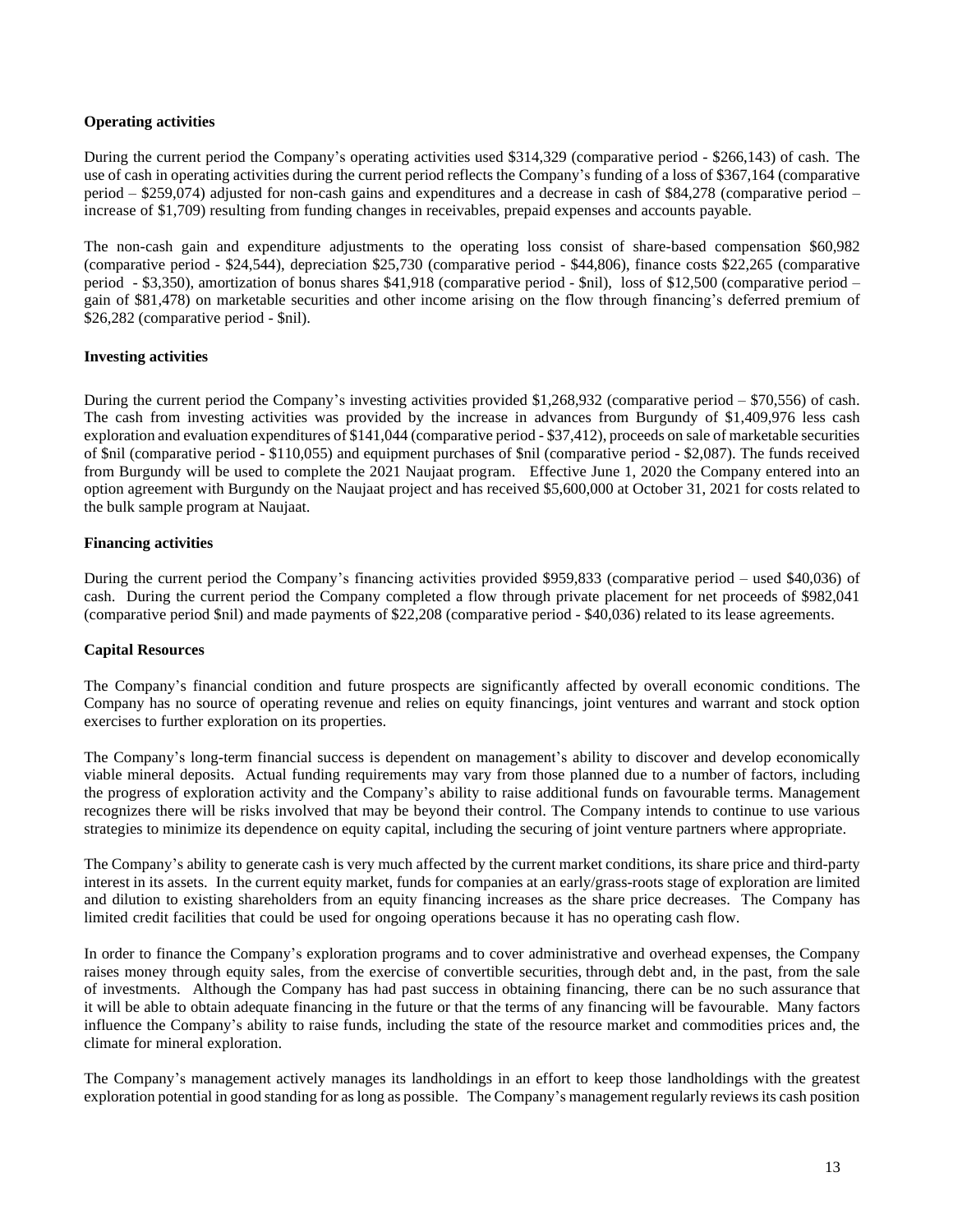# **Operating activities**

During the current period the Company's operating activities used \$314,329 (comparative period - \$266,143) of cash. The use of cash in operating activities during the current period reflects the Company's funding of a loss of \$367,164 (comparative period – \$259,074) adjusted for non-cash gains and expenditures and a decrease in cash of \$84,278 (comparative period – increase of \$1,709) resulting from funding changes in receivables, prepaid expenses and accounts payable.

The non-cash gain and expenditure adjustments to the operating loss consist of share-based compensation \$60,982 (comparative period - \$24,544), depreciation \$25,730 (comparative period - \$44,806), finance costs \$22,265 (comparative period - \$3,350), amortization of bonus shares \$41,918 (comparative period - \$nil), loss of \$12,500 (comparative period – gain of \$81,478) on marketable securities and other income arising on the flow through financing's deferred premium of \$26,282 (comparative period - \$nil).

### **Investing activities**

During the current period the Company's investing activities provided \$1,268,932 (comparative period – \$70,556) of cash. The cash from investing activities was provided by the increase in advances from Burgundy of \$1,409,976 less cash exploration and evaluation expenditures of \$141,044 (comparative period - \$37,412), proceeds on sale of marketable securities of \$nil (comparative period - \$110,055) and equipment purchases of \$nil (comparative period - \$2,087). The funds received from Burgundy will be used to complete the 2021 Naujaat program. Effective June 1, 2020 the Company entered into an option agreement with Burgundy on the Naujaat project and has received \$5,600,000 at October 31, 2021 for costs related to the bulk sample program at Naujaat.

# **Financing activities**

During the current period the Company's financing activities provided \$959,833 (comparative period – used \$40,036) of cash. During the current period the Company completed a flow through private placement for net proceeds of \$982,041 (comparative period \$nil) and made payments of \$22,208 (comparative period - \$40,036) related to its lease agreements.

# **Capital Resources**

The Company's financial condition and future prospects are significantly affected by overall economic conditions. The Company has no source of operating revenue and relies on equity financings, joint ventures and warrant and stock option exercises to further exploration on its properties.

The Company's long-term financial success is dependent on management's ability to discover and develop economically viable mineral deposits. Actual funding requirements may vary from those planned due to a number of factors, including the progress of exploration activity and the Company's ability to raise additional funds on favourable terms. Management recognizes there will be risks involved that may be beyond their control. The Company intends to continue to use various strategies to minimize its dependence on equity capital, including the securing of joint venture partners where appropriate.

The Company's ability to generate cash is very much affected by the current market conditions, its share price and third-party interest in its assets. In the current equity market, funds for companies at an early/grass-roots stage of exploration are limited and dilution to existing shareholders from an equity financing increases as the share price decreases. The Company has limited credit facilities that could be used for ongoing operations because it has no operating cash flow.

In order to finance the Company's exploration programs and to cover administrative and overhead expenses, the Company raises money through equity sales, from the exercise of convertible securities, through debt and, in the past, from the sale of investments. Although the Company has had past success in obtaining financing, there can be no such assurance that it will be able to obtain adequate financing in the future or that the terms of any financing will be favourable. Many factors influence the Company's ability to raise funds, including the state of the resource market and commodities prices and, the climate for mineral exploration.

The Company's management actively manages its landholdings in an effort to keep those landholdings with the greatest exploration potential in good standing for aslong as possible. The Company's management regularly reviews its cash position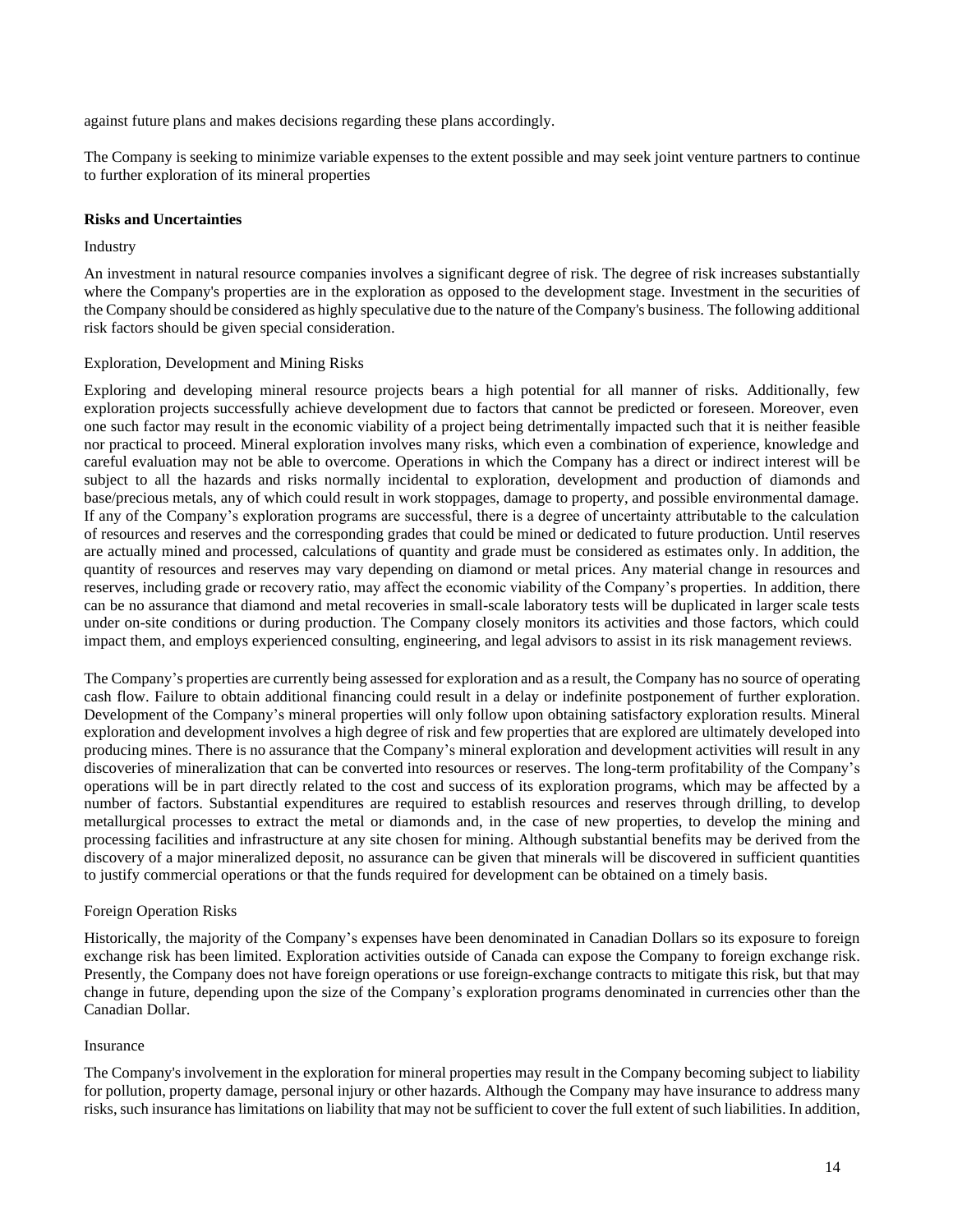against future plans and makes decisions regarding these plans accordingly.

The Company is seeking to minimize variable expenses to the extent possible and may seek joint venture partners to continue to further exploration of its mineral properties

### **Risks and Uncertainties**

#### Industry

An investment in natural resource companies involves a significant degree of risk. The degree of risk increases substantially where the Company's properties are in the exploration as opposed to the development stage. Investment in the securities of the Company should be considered as highly speculative due to the nature of the Company's business. The following additional risk factors should be given special consideration.

### Exploration, Development and Mining Risks

Exploring and developing mineral resource projects bears a high potential for all manner of risks. Additionally, few exploration projects successfully achieve development due to factors that cannot be predicted or foreseen. Moreover, even one such factor may result in the economic viability of a project being detrimentally impacted such that it is neither feasible nor practical to proceed. Mineral exploration involves many risks, which even a combination of experience, knowledge and careful evaluation may not be able to overcome. Operations in which the Company has a direct or indirect interest will be subject to all the hazards and risks normally incidental to exploration, development and production of diamonds and base/precious metals, any of which could result in work stoppages, damage to property, and possible environmental damage. If any of the Company's exploration programs are successful, there is a degree of uncertainty attributable to the calculation of resources and reserves and the corresponding grades that could be mined or dedicated to future production. Until reserves are actually mined and processed, calculations of quantity and grade must be considered as estimates only. In addition, the quantity of resources and reserves may vary depending on diamond or metal prices. Any material change in resources and reserves, including grade or recovery ratio, may affect the economic viability of the Company's properties. In addition, there can be no assurance that diamond and metal recoveries in small-scale laboratory tests will be duplicated in larger scale tests under on-site conditions or during production. The Company closely monitors its activities and those factors, which could impact them, and employs experienced consulting, engineering, and legal advisors to assist in its risk management reviews.

The Company's properties are currently being assessed for exploration and as a result, the Company has no source of operating cash flow. Failure to obtain additional financing could result in a delay or indefinite postponement of further exploration. Development of the Company's mineral properties will only follow upon obtaining satisfactory exploration results. Mineral exploration and development involves a high degree of risk and few properties that are explored are ultimately developed into producing mines. There is no assurance that the Company's mineral exploration and development activities will result in any discoveries of mineralization that can be converted into resources or reserves. The long-term profitability of the Company's operations will be in part directly related to the cost and success of its exploration programs, which may be affected by a number of factors. Substantial expenditures are required to establish resources and reserves through drilling, to develop metallurgical processes to extract the metal or diamonds and, in the case of new properties, to develop the mining and processing facilities and infrastructure at any site chosen for mining. Although substantial benefits may be derived from the discovery of a major mineralized deposit, no assurance can be given that minerals will be discovered in sufficient quantities to justify commercial operations or that the funds required for development can be obtained on a timely basis.

### Foreign Operation Risks

Historically, the majority of the Company's expenses have been denominated in Canadian Dollars so its exposure to foreign exchange risk has been limited. Exploration activities outside of Canada can expose the Company to foreign exchange risk. Presently, the Company does not have foreign operations or use foreign-exchange contracts to mitigate this risk, but that may change in future, depending upon the size of the Company's exploration programs denominated in currencies other than the Canadian Dollar.

### Insurance

The Company's involvement in the exploration for mineral properties may result in the Company becoming subject to liability for pollution, property damage, personal injury or other hazards. Although the Company may have insurance to address many risks, such insurance haslimitations on liability that may not be sufficient to cover the full extent of such liabilities. In addition,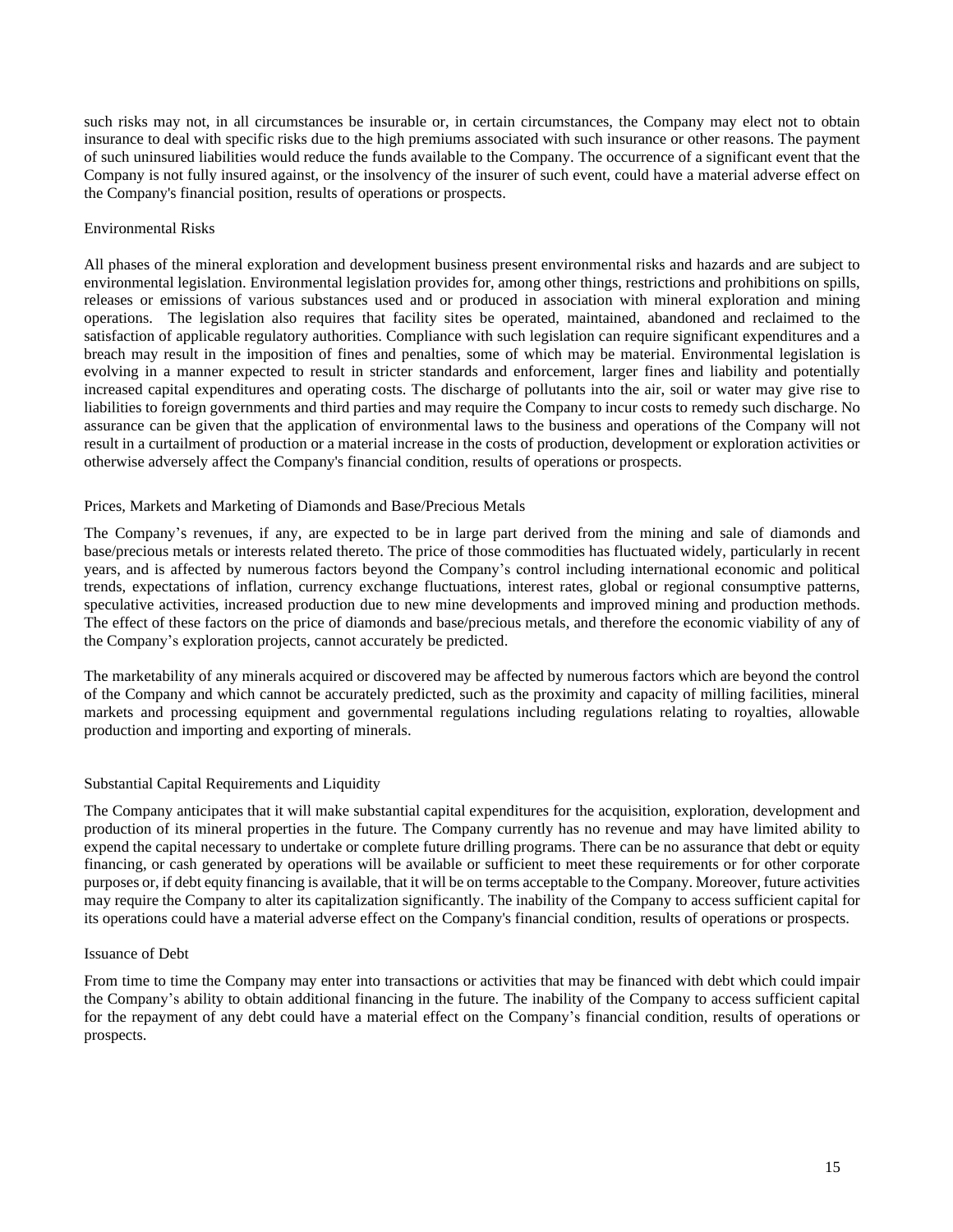such risks may not, in all circumstances be insurable or, in certain circumstances, the Company may elect not to obtain insurance to deal with specific risks due to the high premiums associated with such insurance or other reasons. The payment of such uninsured liabilities would reduce the funds available to the Company. The occurrence of a significant event that the Company is not fully insured against, or the insolvency of the insurer of such event, could have a material adverse effect on the Company's financial position, results of operations or prospects.

### Environmental Risks

All phases of the mineral exploration and development business present environmental risks and hazards and are subject to environmental legislation. Environmental legislation provides for, among other things, restrictions and prohibitions on spills, releases or emissions of various substances used and or produced in association with mineral exploration and mining operations. The legislation also requires that facility sites be operated, maintained, abandoned and reclaimed to the satisfaction of applicable regulatory authorities. Compliance with such legislation can require significant expenditures and a breach may result in the imposition of fines and penalties, some of which may be material. Environmental legislation is evolving in a manner expected to result in stricter standards and enforcement, larger fines and liability and potentially increased capital expenditures and operating costs. The discharge of pollutants into the air, soil or water may give rise to liabilities to foreign governments and third parties and may require the Company to incur costs to remedy such discharge. No assurance can be given that the application of environmental laws to the business and operations of the Company will not result in a curtailment of production or a material increase in the costs of production, development or exploration activities or otherwise adversely affect the Company's financial condition, results of operations or prospects.

### Prices, Markets and Marketing of Diamonds and Base/Precious Metals

The Company's revenues, if any, are expected to be in large part derived from the mining and sale of diamonds and base/precious metals or interests related thereto. The price of those commodities has fluctuated widely, particularly in recent years, and is affected by numerous factors beyond the Company's control including international economic and political trends, expectations of inflation, currency exchange fluctuations, interest rates, global or regional consumptive patterns, speculative activities, increased production due to new mine developments and improved mining and production methods. The effect of these factors on the price of diamonds and base/precious metals, and therefore the economic viability of any of the Company's exploration projects, cannot accurately be predicted.

The marketability of any minerals acquired or discovered may be affected by numerous factors which are beyond the control of the Company and which cannot be accurately predicted, such as the proximity and capacity of milling facilities, mineral markets and processing equipment and governmental regulations including regulations relating to royalties, allowable production and importing and exporting of minerals.

### Substantial Capital Requirements and Liquidity

The Company anticipates that it will make substantial capital expenditures for the acquisition, exploration, development and production of its mineral properties in the future. The Company currently has no revenue and may have limited ability to expend the capital necessary to undertake or complete future drilling programs. There can be no assurance that debt or equity financing, or cash generated by operations will be available or sufficient to meet these requirements or for other corporate purposes or, if debt equity financing is available, that it will be on terms acceptable to the Company. Moreover, future activities may require the Company to alter its capitalization significantly. The inability of the Company to access sufficient capital for its operations could have a material adverse effect on the Company's financial condition, results of operations or prospects.

### Issuance of Debt

From time to time the Company may enter into transactions or activities that may be financed with debt which could impair the Company's ability to obtain additional financing in the future. The inability of the Company to access sufficient capital for the repayment of any debt could have a material effect on the Company's financial condition, results of operations or prospects.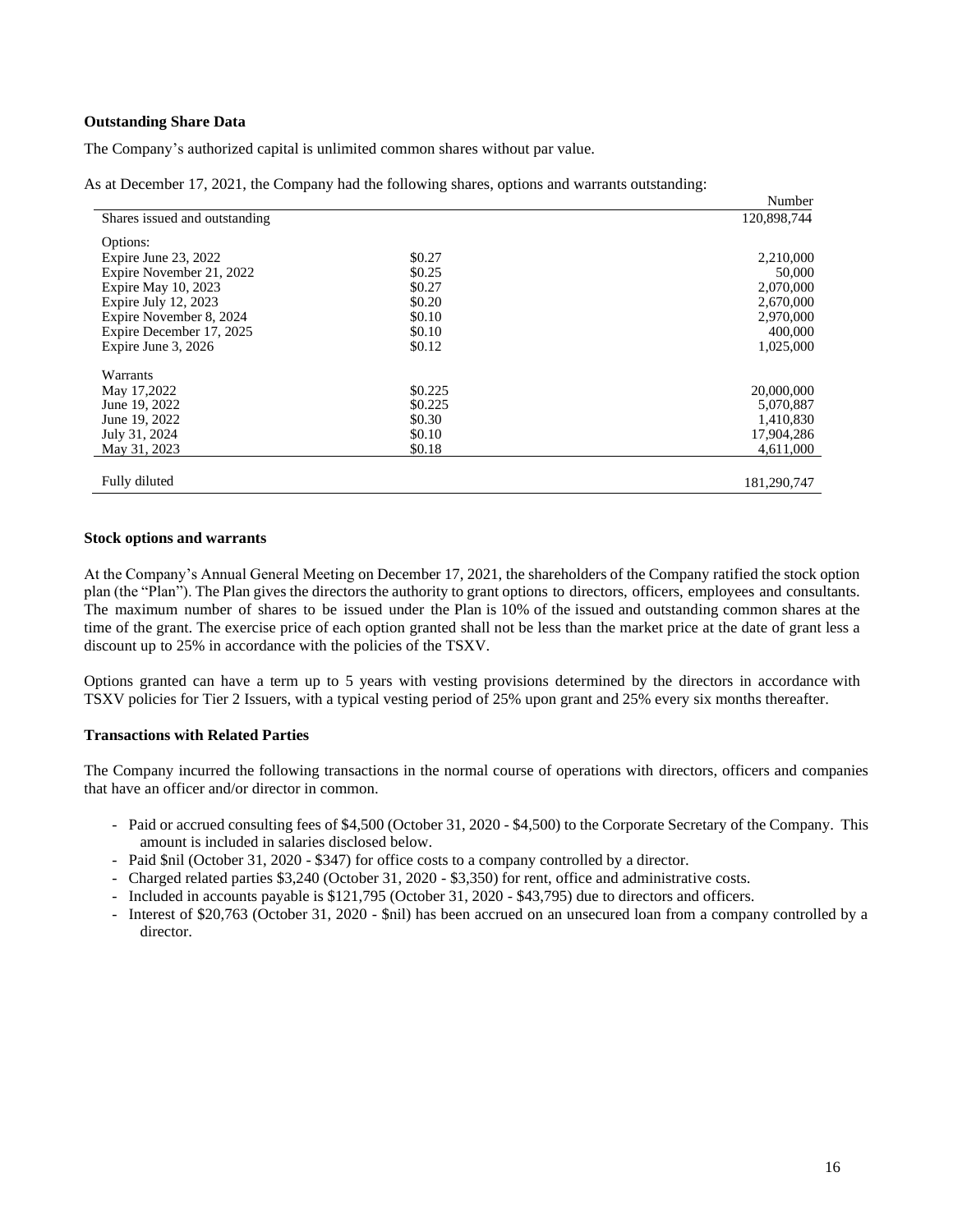### **Outstanding Share Data**

The Company's authorized capital is unlimited common shares without par value.

As at December 17, 2021, the Company had the following shares, options and warrants outstanding:

|                               |         | Number      |
|-------------------------------|---------|-------------|
| Shares issued and outstanding |         | 120,898,744 |
| Options:                      |         |             |
| Expire June 23, 2022          | \$0.27  | 2,210,000   |
| Expire November 21, 2022      | \$0.25  | 50,000      |
| Expire May 10, 2023           | \$0.27  | 2,070,000   |
| Expire July $12, 2023$        | \$0.20  | 2,670,000   |
| Expire November 8, 2024       | \$0.10  | 2,970,000   |
| Expire December 17, 2025      | \$0.10  | 400,000     |
| Expire June 3, 2026           | \$0.12  | 1,025,000   |
| Warrants                      |         |             |
| May 17,2022                   | \$0.225 | 20,000,000  |
| June 19, 2022                 | \$0.225 | 5,070,887   |
| June 19, 2022                 | \$0.30  | 1,410,830   |
| July 31, 2024                 | \$0.10  | 17,904,286  |
| May 31, 2023                  | \$0.18  | 4,611,000   |
| Fully diluted                 |         | 181,290,747 |

### **Stock options and warrants**

At the Company's Annual General Meeting on December 17, 2021, the shareholders of the Company ratified the stock option plan (the "Plan"). The Plan gives the directors the authority to grant options to directors, officers, employees and consultants. The maximum number of shares to be issued under the Plan is 10% of the issued and outstanding common shares at the time of the grant. The exercise price of each option granted shall not be less than the market price at the date of grant less a discount up to 25% in accordance with the policies of the TSXV.

Options granted can have a term up to 5 years with vesting provisions determined by the directors in accordance with TSXV policies for Tier 2 Issuers, with a typical vesting period of 25% upon grant and 25% every six months thereafter.

### **Transactions with Related Parties**

The Company incurred the following transactions in the normal course of operations with directors, officers and companies that have an officer and/or director in common.

- Paid or accrued consulting fees of \$4,500 (October 31, 2020 \$4,500) to the Corporate Secretary of the Company. This amount is included in salaries disclosed below.
- Paid \$nil (October 31, 2020 \$347) for office costs to a company controlled by a director.
- Charged related parties \$3,240 (October 31, 2020 \$3,350) for rent, office and administrative costs.
- Included in accounts payable is \$121,795 (October 31, 2020 \$43,795) due to directors and officers.
- Interest of \$20,763 (October 31, 2020 \$nil) has been accrued on an unsecured loan from a company controlled by a director.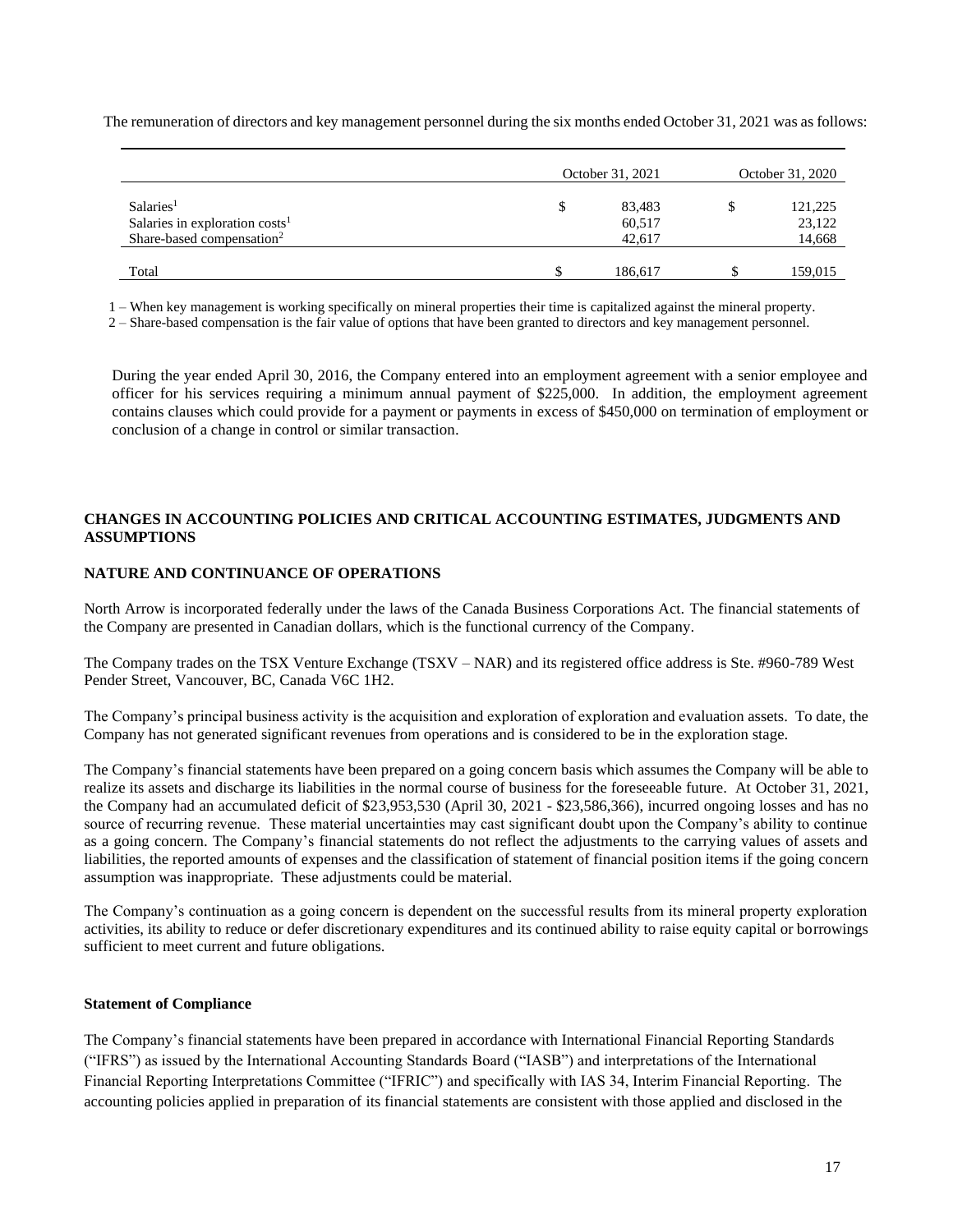The remuneration of directors and key management personnel during the six months ended October 31, 2021 was as follows:

|                                       | October 31, 2021 |         | October 31, 2020 |         |  |
|---------------------------------------|------------------|---------|------------------|---------|--|
| Salaries <sup>1</sup>                 | \$               | 83,483  |                  | 121,225 |  |
| Salaries in exploration $costs1$      |                  | 60,517  |                  | 23,122  |  |
| Share-based compensation <sup>2</sup> |                  | 42,617  |                  | 14,668  |  |
|                                       |                  |         |                  |         |  |
| Total                                 |                  | 186,617 |                  | 159,015 |  |

1 – When key management is working specifically on mineral properties their time is capitalized against the mineral property.

2 – Share-based compensation is the fair value of options that have been granted to directors and key management personnel.

During the year ended April 30, 2016, the Company entered into an employment agreement with a senior employee and officer for his services requiring a minimum annual payment of \$225,000. In addition, the employment agreement contains clauses which could provide for a payment or payments in excess of \$450,000 on termination of employment or conclusion of a change in control or similar transaction.

### **CHANGES IN ACCOUNTING POLICIES AND CRITICAL ACCOUNTING ESTIMATES, JUDGMENTS AND ASSUMPTIONS**

# **NATURE AND CONTINUANCE OF OPERATIONS**

North Arrow is incorporated federally under the laws of the Canada Business Corporations Act. The financial statements of the Company are presented in Canadian dollars, which is the functional currency of the Company.

The Company trades on the TSX Venture Exchange (TSXV – NAR) and its registered office address is Ste. #960-789 West Pender Street, Vancouver, BC, Canada V6C 1H2.

The Company's principal business activity is the acquisition and exploration of exploration and evaluation assets. To date, the Company has not generated significant revenues from operations and is considered to be in the exploration stage.

The Company's financial statements have been prepared on a going concern basis which assumes the Company will be able to realize its assets and discharge its liabilities in the normal course of business for the foreseeable future. At October 31, 2021, the Company had an accumulated deficit of \$23,953,530 (April 30, 2021 - \$23,586,366), incurred ongoing losses and has no source of recurring revenue. These material uncertainties may cast significant doubt upon the Company's ability to continue as a going concern. The Company's financial statements do not reflect the adjustments to the carrying values of assets and liabilities, the reported amounts of expenses and the classification of statement of financial position items if the going concern assumption was inappropriate. These adjustments could be material.

The Company's continuation as a going concern is dependent on the successful results from its mineral property exploration activities, its ability to reduce or defer discretionary expenditures and its continued ability to raise equity capital or borrowings sufficient to meet current and future obligations.

### **Statement of Compliance**

The Company's financial statements have been prepared in accordance with International Financial Reporting Standards ("IFRS") as issued by the International Accounting Standards Board ("IASB") and interpretations of the International Financial Reporting Interpretations Committee ("IFRIC") and specifically with IAS 34, Interim Financial Reporting. The accounting policies applied in preparation of its financial statements are consistent with those applied and disclosed in the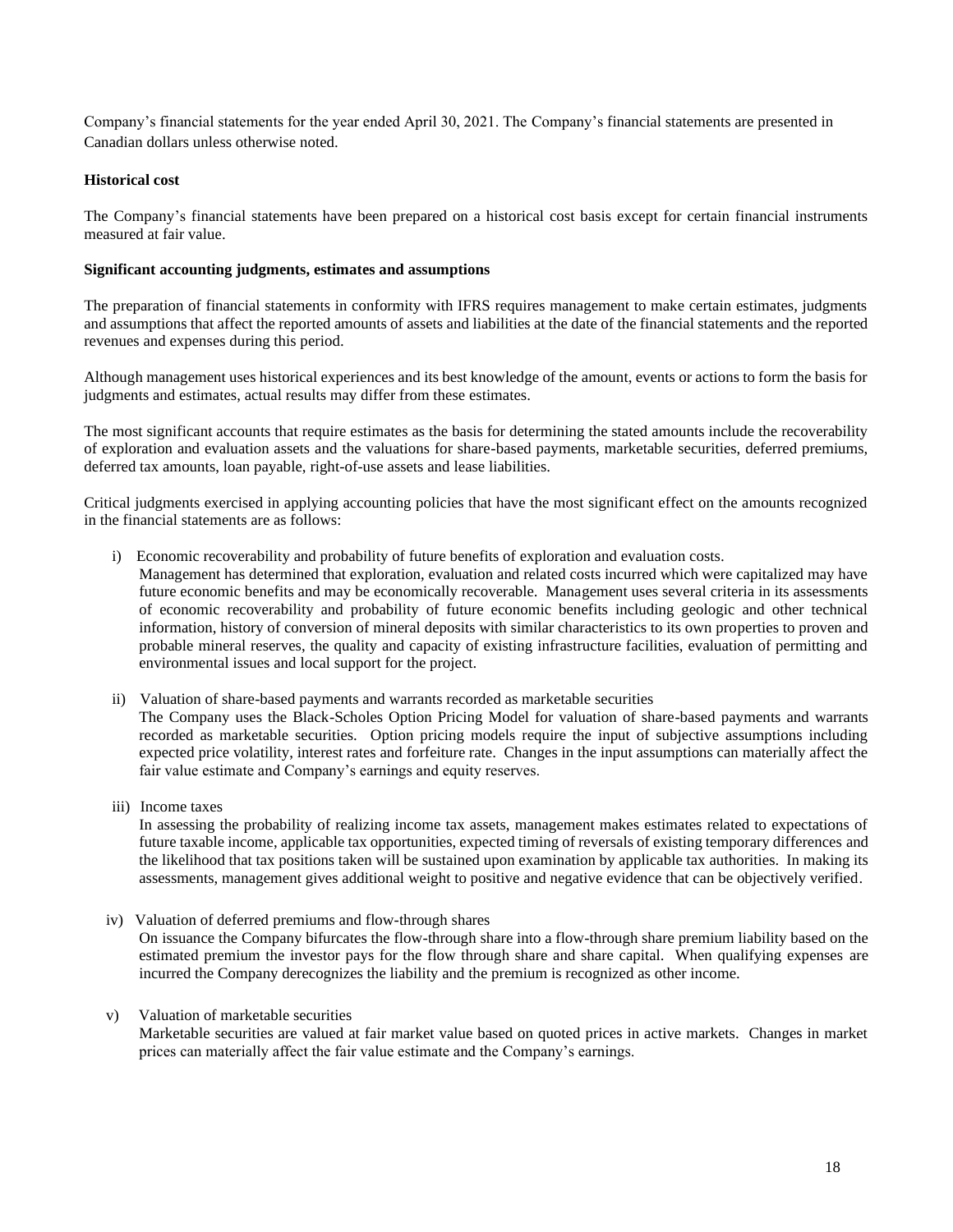Company's financial statements for the year ended April 30, 2021. The Company's financial statements are presented in Canadian dollars unless otherwise noted.

# **Historical cost**

The Company's financial statements have been prepared on a historical cost basis except for certain financial instruments measured at fair value.

# **Significant accounting judgments, estimates and assumptions**

The preparation of financial statements in conformity with IFRS requires management to make certain estimates, judgments and assumptions that affect the reported amounts of assets and liabilities at the date of the financial statements and the reported revenues and expenses during this period.

Although management uses historical experiences and its best knowledge of the amount, events or actions to form the basis for judgments and estimates, actual results may differ from these estimates.

The most significant accounts that require estimates as the basis for determining the stated amounts include the recoverability of exploration and evaluation assets and the valuations for share-based payments, marketable securities, deferred premiums, deferred tax amounts, loan payable, right-of-use assets and lease liabilities.

Critical judgments exercised in applying accounting policies that have the most significant effect on the amounts recognized in the financial statements are as follows:

i) Economic recoverability and probability of future benefits of exploration and evaluation costs*.* 

Management has determined that exploration, evaluation and related costs incurred which were capitalized may have future economic benefits and may be economically recoverable. Management uses several criteria in its assessments of economic recoverability and probability of future economic benefits including geologic and other technical information, history of conversion of mineral deposits with similar characteristics to its own properties to proven and probable mineral reserves, the quality and capacity of existing infrastructure facilities, evaluation of permitting and environmental issues and local support for the project.

- ii) Valuation of share-based payments and warrants recorded as marketable securities The Company uses the Black-Scholes Option Pricing Model for valuation of share-based payments and warrants recorded as marketable securities. Option pricing models require the input of subjective assumptions including expected price volatility, interest rates and forfeiture rate. Changes in the input assumptions can materially affect the fair value estimate and Company's earnings and equity reserves.
- iii) Income taxes

In assessing the probability of realizing income tax assets, management makes estimates related to expectations of future taxable income, applicable tax opportunities, expected timing of reversals of existing temporary differences and the likelihood that tax positions taken will be sustained upon examination by applicable tax authorities. In making its assessments, management gives additional weight to positive and negative evidence that can be objectively verified.

- iv) Valuation of deferred premiums and flow-through shares On issuance the Company bifurcates the flow-through share into a flow-through share premium liability based on the estimated premium the investor pays for the flow through share and share capital. When qualifying expenses are incurred the Company derecognizes the liability and the premium is recognized as other income.
- v) Valuation of marketable securities

Marketable securities are valued at fair market value based on quoted prices in active markets. Changes in market prices can materially affect the fair value estimate and the Company's earnings.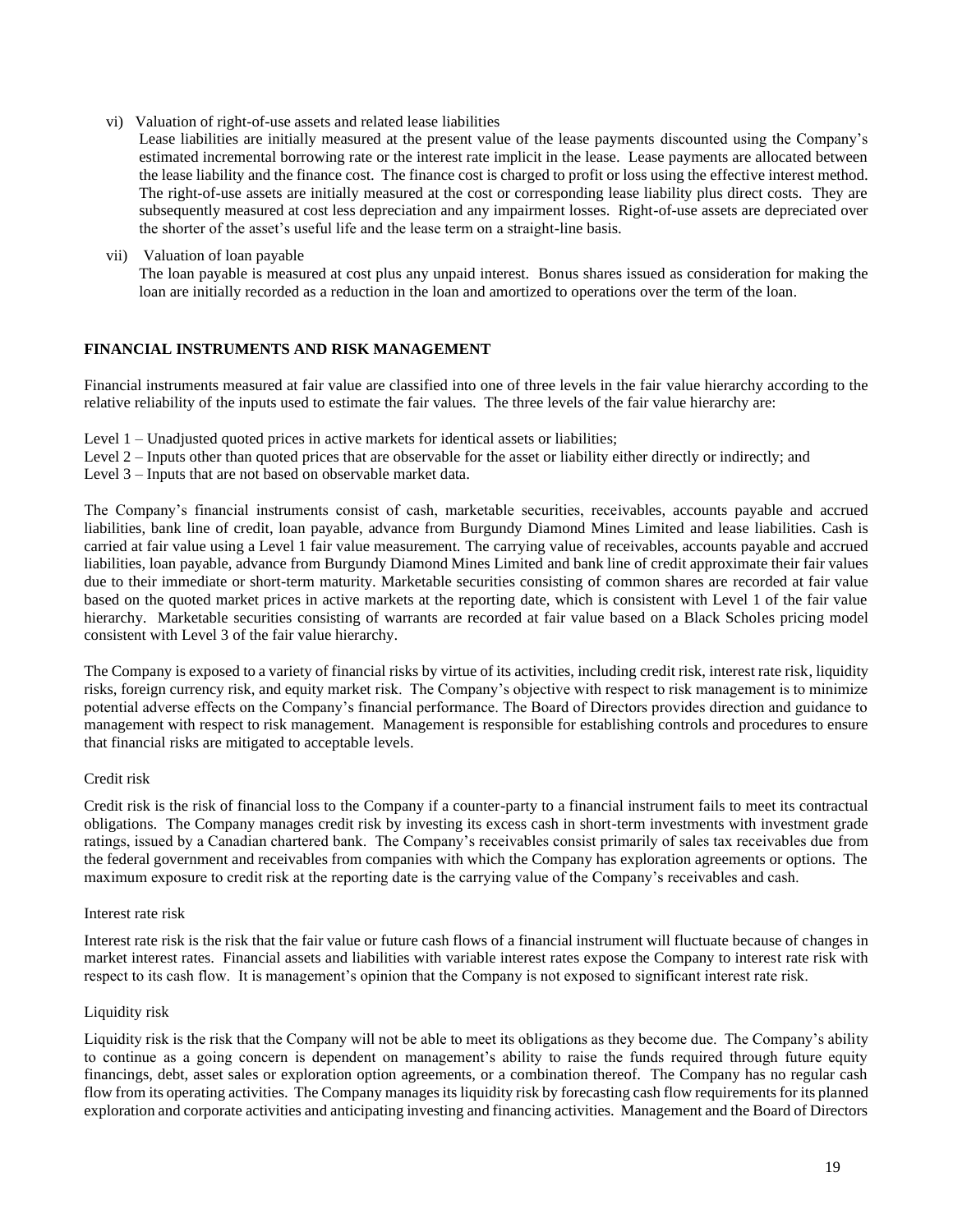vi) Valuation of right-of-use assets and related lease liabilities

Lease liabilities are initially measured at the present value of the lease payments discounted using the Company's estimated incremental borrowing rate or the interest rate implicit in the lease. Lease payments are allocated between the lease liability and the finance cost. The finance cost is charged to profit or loss using the effective interest method. The right-of-use assets are initially measured at the cost or corresponding lease liability plus direct costs. They are subsequently measured at cost less depreciation and any impairment losses. Right-of-use assets are depreciated over the shorter of the asset's useful life and the lease term on a straight-line basis.

vii) Valuation of loan payable

The loan payable is measured at cost plus any unpaid interest. Bonus shares issued as consideration for making the loan are initially recorded as a reduction in the loan and amortized to operations over the term of the loan.

# **FINANCIAL INSTRUMENTS AND RISK MANAGEMENT**

Financial instruments measured at fair value are classified into one of three levels in the fair value hierarchy according to the relative reliability of the inputs used to estimate the fair values. The three levels of the fair value hierarchy are:

Level 1 – Unadjusted quoted prices in active markets for identical assets or liabilities;

Level 2 – Inputs other than quoted prices that are observable for the asset or liability either directly or indirectly; and

Level 3 – Inputs that are not based on observable market data.

The Company's financial instruments consist of cash, marketable securities, receivables, accounts payable and accrued liabilities, bank line of credit, loan payable, advance from Burgundy Diamond Mines Limited and lease liabilities. Cash is carried at fair value using a Level 1 fair value measurement. The carrying value of receivables, accounts payable and accrued liabilities, loan payable, advance from Burgundy Diamond Mines Limited and bank line of credit approximate their fair values due to their immediate or short-term maturity. Marketable securities consisting of common shares are recorded at fair value based on the quoted market prices in active markets at the reporting date, which is consistent with Level 1 of the fair value hierarchy. Marketable securities consisting of warrants are recorded at fair value based on a Black Scholes pricing model consistent with Level 3 of the fair value hierarchy.

The Company is exposed to a variety of financial risks by virtue of its activities, including credit risk, interest rate risk, liquidity risks, foreign currency risk, and equity market risk. The Company's objective with respect to risk management is to minimize potential adverse effects on the Company's financial performance. The Board of Directors provides direction and guidance to management with respect to risk management. Management is responsible for establishing controls and procedures to ensure that financial risks are mitigated to acceptable levels.

# Credit risk

Credit risk is the risk of financial loss to the Company if a counter-party to a financial instrument fails to meet its contractual obligations. The Company manages credit risk by investing its excess cash in short-term investments with investment grade ratings, issued by a Canadian chartered bank. The Company's receivables consist primarily of sales tax receivables due from the federal government and receivables from companies with which the Company has exploration agreements or options. The maximum exposure to credit risk at the reporting date is the carrying value of the Company's receivables and cash.

### Interest rate risk

Interest rate risk is the risk that the fair value or future cash flows of a financial instrument will fluctuate because of changes in market interest rates. Financial assets and liabilities with variable interest rates expose the Company to interest rate risk with respect to its cash flow. It is management's opinion that the Company is not exposed to significant interest rate risk.

# Liquidity risk

Liquidity risk is the risk that the Company will not be able to meet its obligations as they become due. The Company's ability to continue as a going concern is dependent on management's ability to raise the funds required through future equity financings, debt, asset sales or exploration option agreements, or a combination thereof. The Company has no regular cash flow from its operating activities. The Company manages its liquidity risk by forecasting cash flow requirements for its planned exploration and corporate activities and anticipating investing and financing activities. Management and the Board of Directors